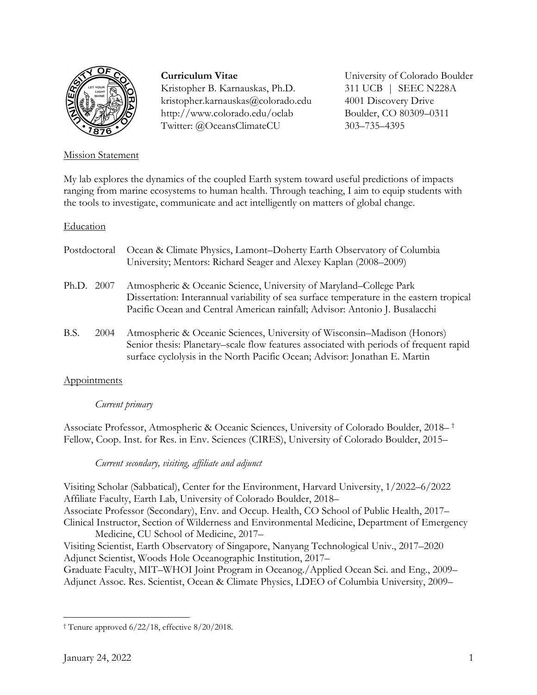

# Mission Statement

# **Curriculum Vitae**

Kristopher B. Karnauskas, Ph.D. kristopher.karnauskas@colorado.edu http://www.colorado.edu/oclab Twitter: @OceansClimateCU

University of Colorado Boulder 311 UCB | SEEC N228A 4001 Discovery Drive Boulder, CO 80309–0311 303–735–4395

My lab explores the dynamics of the coupled Earth system toward useful predictions of impacts ranging from marine ecosystems to human health. Through teaching, I aim to equip students with the tools to investigate, communicate and act intelligently on matters of global change.

# Education

|            | Postdoctoral | Ocean & Climate Physics, Lamont–Doherty Earth Observatory of Columbia<br>University; Mentors: Richard Seager and Alexey Kaplan (2008–2009)                                                                                                    |
|------------|--------------|-----------------------------------------------------------------------------------------------------------------------------------------------------------------------------------------------------------------------------------------------|
| Ph.D. 2007 |              | Atmospheric & Oceanic Science, University of Maryland–College Park<br>Dissertation: Interannual variability of sea surface temperature in the eastern tropical<br>Pacific Ocean and Central American rainfall; Advisor: Antonio J. Busalacchi |
| <b>BS</b>  | 2004         | Atmospheric & Oceanic Sciences Hniversity of Wisconsin–Madison (Honors)                                                                                                                                                                       |

B.S. 2004 Atmospheric & Oceanic Sciences, University of Wisconsin–Madison (Honors) Senior thesis: Planetary–scale flow features associated with periods of frequent rapid surface cyclolysis in the North Pacific Ocean; Advisor: Jonathan E. Martin

# **Appointments**

# *Current primary*

Associate Professor, Atmospheric & Oceanic Sciences, University of Colorado Boulder, 2018– † Fellow, Coop. Inst. for Res. in Env. Sciences (CIRES), University of Colorado Boulder, 2015–

# *Current secondary, visiting, affiliate and adjunct*

Visiting Scholar (Sabbatical), Center for the Environment, Harvard University, 1/2022–6/2022 Affiliate Faculty, Earth Lab, University of Colorado Boulder, 2018– Associate Professor (Secondary), Env. and Occup. Health, CO School of Public Health, 2017– Clinical Instructor, Section of Wilderness and Environmental Medicine, Department of Emergency Medicine, CU School of Medicine, 2017–

Visiting Scientist, Earth Observatory of Singapore, Nanyang Technological Univ., 2017–2020 Adjunct Scientist, Woods Hole Oceanographic Institution, 2017–

Graduate Faculty, MIT–WHOI Joint Program in Oceanog./Applied Ocean Sci. and Eng., 2009– Adjunct Assoc. Res. Scientist, Ocean & Climate Physics, LDEO of Columbia University, 2009–

<sup>†</sup> Tenure approved 6/22/18, effective 8/20/2018.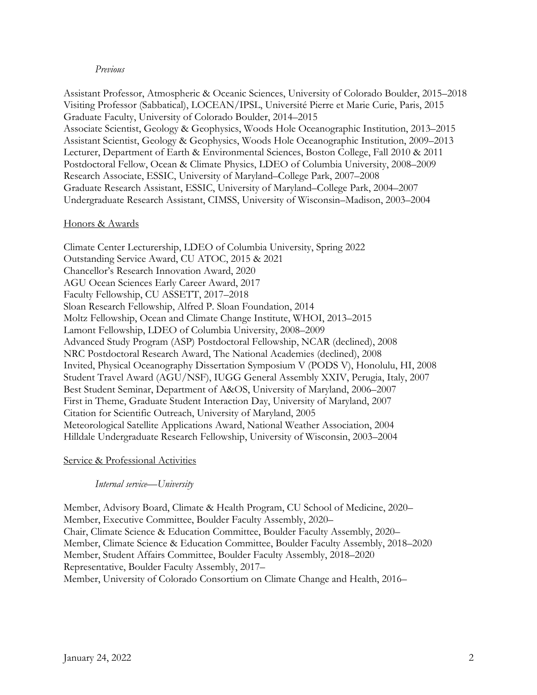### *Previous*

Assistant Professor, Atmospheric & Oceanic Sciences, University of Colorado Boulder, 2015–2018 Visiting Professor (Sabbatical), LOCEAN/IPSL, Université Pierre et Marie Curie, Paris, 2015 Graduate Faculty, University of Colorado Boulder, 2014–2015 Associate Scientist, Geology & Geophysics, Woods Hole Oceanographic Institution, 2013–2015 Assistant Scientist, Geology & Geophysics, Woods Hole Oceanographic Institution, 2009–2013 Lecturer, Department of Earth & Environmental Sciences, Boston College, Fall 2010 & 2011 Postdoctoral Fellow, Ocean & Climate Physics, LDEO of Columbia University, 2008–2009 Research Associate, ESSIC, University of Maryland–College Park, 2007–2008 Graduate Research Assistant, ESSIC, University of Maryland–College Park, 2004–2007 Undergraduate Research Assistant, CIMSS, University of Wisconsin–Madison, 2003–2004

### Honors & Awards

Climate Center Lecturership, LDEO of Columbia University, Spring 2022 Outstanding Service Award, CU ATOC, 2015 & 2021 Chancellor's Research Innovation Award, 2020 AGU Ocean Sciences Early Career Award, 2017 Faculty Fellowship, CU ASSETT, 2017–2018 Sloan Research Fellowship, Alfred P. Sloan Foundation, 2014 Moltz Fellowship, Ocean and Climate Change Institute, WHOI, 2013–2015 Lamont Fellowship, LDEO of Columbia University, 2008–2009 Advanced Study Program (ASP) Postdoctoral Fellowship, NCAR (declined), 2008 NRC Postdoctoral Research Award, The National Academies (declined), 2008 Invited, Physical Oceanography Dissertation Symposium V (PODS V), Honolulu, HI, 2008 Student Travel Award (AGU/NSF), IUGG General Assembly XXIV, Perugia, Italy, 2007 Best Student Seminar, Department of A&OS, University of Maryland, 2006–2007 First in Theme, Graduate Student Interaction Day, University of Maryland, 2007 Citation for Scientific Outreach, University of Maryland, 2005 Meteorological Satellite Applications Award, National Weather Association, 2004 Hilldale Undergraduate Research Fellowship, University of Wisconsin, 2003–2004

### Service & Professional Activities

### *Internal service—University*

Member, Advisory Board, Climate & Health Program, CU School of Medicine, 2020– Member, Executive Committee, Boulder Faculty Assembly, 2020– Chair, Climate Science & Education Committee, Boulder Faculty Assembly, 2020– Member, Climate Science & Education Committee, Boulder Faculty Assembly, 2018–2020 Member, Student Affairs Committee, Boulder Faculty Assembly, 2018–2020 Representative, Boulder Faculty Assembly, 2017– Member, University of Colorado Consortium on Climate Change and Health, 2016–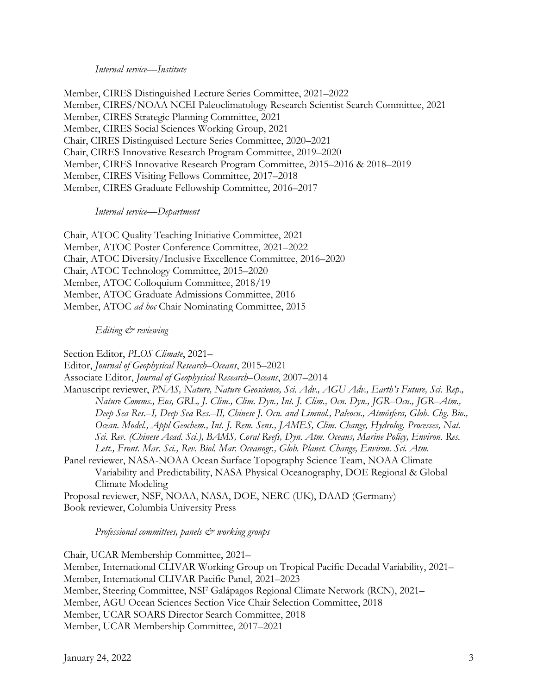### *Internal service—Institute*

Member, CIRES Distinguished Lecture Series Committee, 2021–2022 Member, CIRES/NOAA NCEI Paleoclimatology Research Scientist Search Committee, 2021 Member, CIRES Strategic Planning Committee, 2021 Member, CIRES Social Sciences Working Group, 2021 Chair, CIRES Distinguised Lecture Series Committee, 2020–2021 Chair, CIRES Innovative Research Program Committee, 2019–2020 Member, CIRES Innovative Research Program Committee, 2015–2016 & 2018–2019 Member, CIRES Visiting Fellows Committee, 2017–2018 Member, CIRES Graduate Fellowship Committee, 2016–2017

### *Internal service—Department*

Chair, ATOC Quality Teaching Initiative Committee, 2021 Member, ATOC Poster Conference Committee, 2021–2022 Chair, ATOC Diversity/Inclusive Excellence Committee, 2016–2020 Chair, ATOC Technology Committee, 2015–2020 Member, ATOC Colloquium Committee, 2018/19 Member, ATOC Graduate Admissions Committee, 2016 Member, ATOC *ad hoc* Chair Nominating Committee, 2015

### *Editing & reviewing*

Section Editor, *PLOS Climate*, 2021– Editor, *Journal of Geophysical Research–Oceans*, 2015–2021 Associate Editor, *Journal of Geophysical Research–Oceans*, 2007–2014 Manuscript reviewer, *PNAS, Nature, Nature Geoscience, Sci. Adv., AGU Adv., Earth's Future, Sci. Rep., Nature Comms., Eos, GRL, J. Clim., Clim. Dyn., Int. J. Clim., Ocn. Dyn., JGR–Ocn., JGR–Atm., Deep Sea Res.–I, Deep Sea Res.–II, Chinese J. Ocn. and Limnol., Paleocn., Atmósfera, Glob. Chg. Bio., Ocean. Model., Appl Geochem., Int. J. Rem. Sens., JAMES, Clim. Change, Hydrolog. Processes, Nat. Sci. Rev. (Chinese Acad. Sci.), BAMS, Coral Reefs, Dyn. Atm. Oceans, Marine Policy, Environ. Res. Lett., Front. Mar. Sci., Rev. Biol. Mar. Oceanogr., Glob. Planet. Change, Environ. Sci. Atm.* Panel reviewer, NASA-NOAA Ocean Surface Topography Science Team, NOAA Climate Variability and Predictability, NASA Physical Oceanography, DOE Regional & Global Climate Modeling Proposal reviewer, NSF, NOAA, NASA, DOE, NERC (UK), DAAD (Germany)

Book reviewer, Columbia University Press

*Professional committees, panels & working groups*

Chair, UCAR Membership Committee, 2021– Member, International CLIVAR Working Group on Tropical Pacific Decadal Variability, 2021– Member, International CLIVAR Pacific Panel, 2021–2023 Member, Steering Committee, NSF Galápagos Regional Climate Network (RCN), 2021– Member, AGU Ocean Sciences Section Vice Chair Selection Committee, 2018 Member, UCAR SOARS Director Search Committee, 2018 Member, UCAR Membership Committee, 2017–2021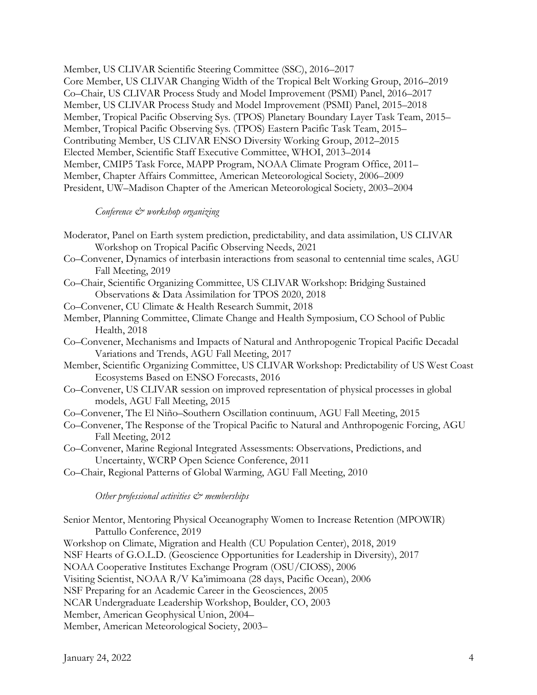Member, US CLIVAR Scientific Steering Committee (SSC), 2016–2017 Core Member, US CLIVAR Changing Width of the Tropical Belt Working Group, 2016–2019 Co–Chair, US CLIVAR Process Study and Model Improvement (PSMI) Panel, 2016–2017 Member, US CLIVAR Process Study and Model Improvement (PSMI) Panel, 2015–2018 Member, Tropical Pacific Observing Sys. (TPOS) Planetary Boundary Layer Task Team, 2015– Member, Tropical Pacific Observing Sys. (TPOS) Eastern Pacific Task Team, 2015– Contributing Member, US CLIVAR ENSO Diversity Working Group, 2012–2015 Elected Member, Scientific Staff Executive Committee, WHOI, 2013–2014 Member, CMIP5 Task Force, MAPP Program, NOAA Climate Program Office, 2011– Member, Chapter Affairs Committee, American Meteorological Society, 2006–2009 President, UW–Madison Chapter of the American Meteorological Society, 2003–2004

### *Conference & workshop organizing*

- Moderator, Panel on Earth system prediction, predictability, and data assimilation, US CLIVAR Workshop on Tropical Pacific Observing Needs, 2021
- Co–Convener, Dynamics of interbasin interactions from seasonal to centennial time scales, AGU Fall Meeting, 2019
- Co–Chair, Scientific Organizing Committee, US CLIVAR Workshop: Bridging Sustained Observations & Data Assimilation for TPOS 2020, 2018
- Co–Convener, CU Climate & Health Research Summit, 2018
- Member, Planning Committee, Climate Change and Health Symposium, CO School of Public Health, 2018
- Co–Convener, Mechanisms and Impacts of Natural and Anthropogenic Tropical Pacific Decadal Variations and Trends, AGU Fall Meeting, 2017
- Member, Scientific Organizing Committee, US CLIVAR Workshop: Predictability of US West Coast Ecosystems Based on ENSO Forecasts, 2016
- Co–Convener, US CLIVAR session on improved representation of physical processes in global models, AGU Fall Meeting, 2015
- Co–Convener, The El Niño–Southern Oscillation continuum, AGU Fall Meeting, 2015
- Co–Convener, The Response of the Tropical Pacific to Natural and Anthropogenic Forcing, AGU Fall Meeting, 2012
- Co–Convener, Marine Regional Integrated Assessments: Observations, Predictions, and Uncertainty, WCRP Open Science Conference, 2011
- Co–Chair, Regional Patterns of Global Warming, AGU Fall Meeting, 2010

### *Other professional activities & memberships*

Senior Mentor, Mentoring Physical Oceanography Women to Increase Retention (MPOWIR) Pattullo Conference, 2019 Workshop on Climate, Migration and Health (CU Population Center), 2018, 2019 NSF Hearts of G.O.L.D. (Geoscience Opportunities for Leadership in Diversity), 2017 NOAA Cooperative Institutes Exchange Program (OSU/CIOSS), 2006 Visiting Scientist, NOAA R/V Ka'imimoana (28 days, Pacific Ocean), 2006 NSF Preparing for an Academic Career in the Geosciences, 2005 NCAR Undergraduate Leadership Workshop, Boulder, CO, 2003 Member, American Geophysical Union, 2004– Member, American Meteorological Society, 2003–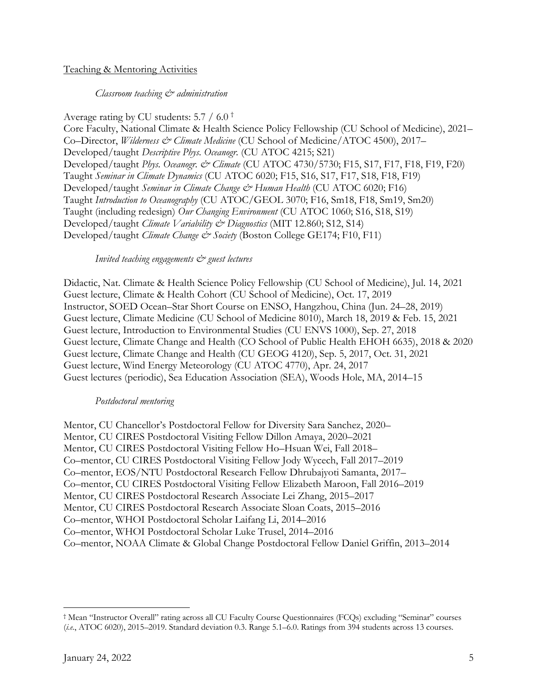## Teaching & Mentoring Activities

## *Classroom teaching & administration*

Average rating by CU students: 5.7 / 6.0 † Core Faculty, National Climate & Health Science Policy Fellowship (CU School of Medicine), 2021– Co–Director, *Wilderness & Climate Medicine* (CU School of Medicine/ATOC 4500), 2017– Developed/taught *Descriptive Phys. Oceanogr.* (CU ATOC 4215; S21) Developed/taught *Phys. Oceanogr. & Climate* (CU ATOC 4730/5730; F15, S17, F17, F18, F19, F20) Taught *Seminar in Climate Dynamics* (CU ATOC 6020; F15, S16, S17, F17, S18, F18, F19) Developed/taught *Seminar in Climate Change & Human Health* (CU ATOC 6020; F16) Taught *Introduction to Oceanography* (CU ATOC/GEOL 3070; F16, Sm18, F18, Sm19, Sm20) Taught (including redesign) *Our Changing Environment* (CU ATOC 1060; S16, S18, S19) Developed/taught *Climate Variability & Diagnostics* (MIT 12.860; S12, S14) Developed/taught *Climate Change & Society* (Boston College GE174; F10, F11)

### *Invited teaching engagements & guest lectures*

Didactic, Nat. Climate & Health Science Policy Fellowship (CU School of Medicine), Jul. 14, 2021 Guest lecture, Climate & Health Cohort (CU School of Medicine), Oct. 17, 2019 Instructor, SOED Ocean–Star Short Course on ENSO, Hangzhou, China (Jun. 24–28, 2019) Guest lecture, Climate Medicine (CU School of Medicine 8010), March 18, 2019 & Feb. 15, 2021 Guest lecture, Introduction to Environmental Studies (CU ENVS 1000), Sep. 27, 2018 Guest lecture, Climate Change and Health (CO School of Public Health EHOH 6635), 2018 & 2020 Guest lecture, Climate Change and Health (CU GEOG 4120), Sep. 5, 2017, Oct. 31, 2021 Guest lecture, Wind Energy Meteorology (CU ATOC 4770), Apr. 24, 2017 Guest lectures (periodic), Sea Education Association (SEA), Woods Hole, MA, 2014–15

### *Postdoctoral mentoring*

Mentor, CU Chancellor's Postdoctoral Fellow for Diversity Sara Sanchez, 2020– Mentor, CU CIRES Postdoctoral Visiting Fellow Dillon Amaya, 2020–2021 Mentor, CU CIRES Postdoctoral Visiting Fellow Ho–Hsuan Wei, Fall 2018– Co–mentor, CU CIRES Postdoctoral Visiting Fellow Jody Wycech, Fall 2017–2019 Co–mentor, EOS/NTU Postdoctoral Research Fellow Dhrubajyoti Samanta, 2017– Co–mentor, CU CIRES Postdoctoral Visiting Fellow Elizabeth Maroon, Fall 2016–2019 Mentor, CU CIRES Postdoctoral Research Associate Lei Zhang, 2015–2017 Mentor, CU CIRES Postdoctoral Research Associate Sloan Coats, 2015–2016 Co–mentor, WHOI Postdoctoral Scholar Laifang Li, 2014–2016 Co–mentor, WHOI Postdoctoral Scholar Luke Trusel, 2014–2016 Co–mentor, NOAA Climate & Global Change Postdoctoral Fellow Daniel Griffin, 2013–2014

<sup>†</sup> Mean "Instructor Overall" rating across all CU Faculty Course Questionnaires (FCQs) excluding "Seminar" courses (*i.e.*, ATOC 6020), 2015–2019. Standard deviation 0.3. Range 5.1–6.0. Ratings from 394 students across 13 courses.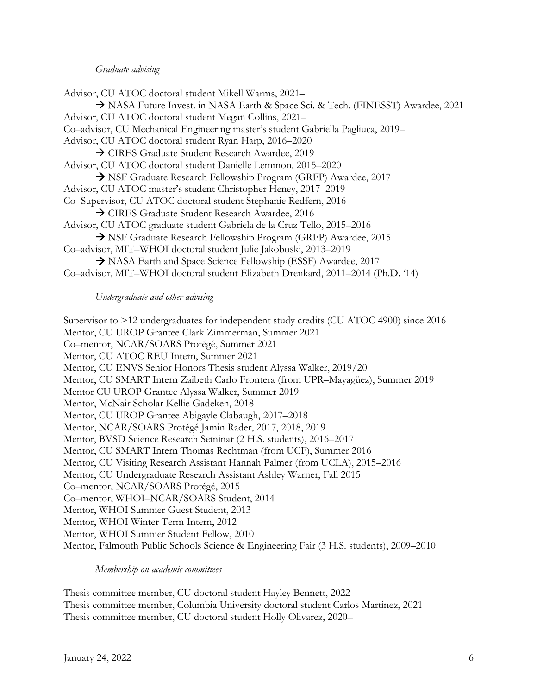### *Graduate advising*

Advisor, CU ATOC doctoral student Mikell Warms, 2021– à NASA Future Invest. in NASA Earth & Space Sci. & Tech. (FINESST) Awardee, 2021 Advisor, CU ATOC doctoral student Megan Collins, 2021– Co–advisor, CU Mechanical Engineering master's student Gabriella Pagliuca, 2019– Advisor, CU ATOC doctoral student Ryan Harp, 2016–2020 → CIRES Graduate Student Research Awardee, 2019 Advisor, CU ATOC doctoral student Danielle Lemmon, 2015–2020 à NSF Graduate Research Fellowship Program (GRFP) Awardee, 2017 Advisor, CU ATOC master's student Christopher Heney, 2017–2019 Co–Supervisor, CU ATOC doctoral student Stephanie Redfern, 2016 à CIRES Graduate Student Research Awardee, 2016 Advisor, CU ATOC graduate student Gabriela de la Cruz Tello, 2015–2016 à NSF Graduate Research Fellowship Program (GRFP) Awardee, 2015 Co–advisor, MIT–WHOI doctoral student Julie Jakoboski, 2013–2019 à NASA Earth and Space Science Fellowship (ESSF) Awardee, 2017 Co–advisor, MIT–WHOI doctoral student Elizabeth Drenkard, 2011–2014 (Ph.D. '14)

### *Undergraduate and other advising*

Supervisor to >12 undergraduates for independent study credits (CU ATOC 4900) since 2016 Mentor, CU UROP Grantee Clark Zimmerman, Summer 2021 Co–mentor, NCAR/SOARS Protégé, Summer 2021 Mentor, CU ATOC REU Intern, Summer 2021 Mentor, CU ENVS Senior Honors Thesis student Alyssa Walker, 2019/20 Mentor, CU SMART Intern Zaibeth Carlo Frontera (from UPR–Mayagüez), Summer 2019 Mentor CU UROP Grantee Alyssa Walker, Summer 2019 Mentor, McNair Scholar Kellie Gadeken, 2018 Mentor, CU UROP Grantee Abigayle Clabaugh, 2017–2018 Mentor, NCAR/SOARS Protégé Jamin Rader, 2017, 2018, 2019 Mentor, BVSD Science Research Seminar (2 H.S. students), 2016–2017 Mentor, CU SMART Intern Thomas Rechtman (from UCF), Summer 2016 Mentor, CU Visiting Research Assistant Hannah Palmer (from UCLA), 2015–2016 Mentor, CU Undergraduate Research Assistant Ashley Warner, Fall 2015 Co–mentor, NCAR/SOARS Protégé, 2015 Co–mentor, WHOI–NCAR/SOARS Student, 2014 Mentor, WHOI Summer Guest Student, 2013 Mentor, WHOI Winter Term Intern, 2012 Mentor, WHOI Summer Student Fellow, 2010 Mentor, Falmouth Public Schools Science & Engineering Fair (3 H.S. students), 2009–2010

### *Membership on academic committees*

Thesis committee member, CU doctoral student Hayley Bennett, 2022– Thesis committee member, Columbia University doctoral student Carlos Martinez, 2021 Thesis committee member, CU doctoral student Holly Olivarez, 2020–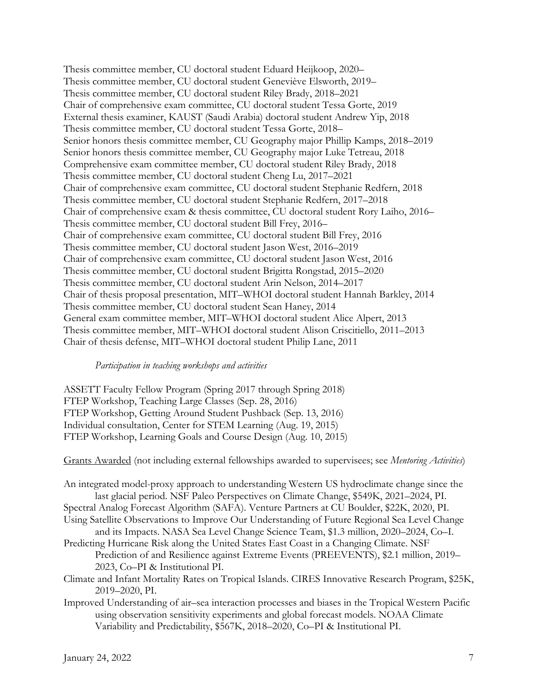Thesis committee member, CU doctoral student Eduard Heijkoop, 2020– Thesis committee member, CU doctoral student Geneviève Elsworth, 2019– Thesis committee member, CU doctoral student Riley Brady, 2018–2021 Chair of comprehensive exam committee, CU doctoral student Tessa Gorte, 2019 External thesis examiner, KAUST (Saudi Arabia) doctoral student Andrew Yip, 2018 Thesis committee member, CU doctoral student Tessa Gorte, 2018– Senior honors thesis committee member, CU Geography major Phillip Kamps, 2018–2019 Senior honors thesis committee member, CU Geography major Luke Tetreau, 2018 Comprehensive exam committee member, CU doctoral student Riley Brady, 2018 Thesis committee member, CU doctoral student Cheng Lu, 2017–2021 Chair of comprehensive exam committee, CU doctoral student Stephanie Redfern, 2018 Thesis committee member, CU doctoral student Stephanie Redfern, 2017–2018 Chair of comprehensive exam & thesis committee, CU doctoral student Rory Laiho, 2016– Thesis committee member, CU doctoral student Bill Frey, 2016– Chair of comprehensive exam committee, CU doctoral student Bill Frey, 2016 Thesis committee member, CU doctoral student Jason West, 2016–2019 Chair of comprehensive exam committee, CU doctoral student Jason West, 2016 Thesis committee member, CU doctoral student Brigitta Rongstad, 2015–2020 Thesis committee member, CU doctoral student Arin Nelson, 2014–2017 Chair of thesis proposal presentation, MIT–WHOI doctoral student Hannah Barkley, 2014 Thesis committee member, CU doctoral student Sean Haney, 2014 General exam committee member, MIT–WHOI doctoral student Alice Alpert, 2013 Thesis committee member, MIT–WHOI doctoral student Alison Criscitiello, 2011–2013 Chair of thesis defense, MIT–WHOI doctoral student Philip Lane, 2011

### *Participation in teaching workshops and activities*

ASSETT Faculty Fellow Program (Spring 2017 through Spring 2018) FTEP Workshop, Teaching Large Classes (Sep. 28, 2016) FTEP Workshop, Getting Around Student Pushback (Sep. 13, 2016) Individual consultation, Center for STEM Learning (Aug. 19, 2015) FTEP Workshop, Learning Goals and Course Design (Aug. 10, 2015)

Grants Awarded (not including external fellowships awarded to supervisees; see *Mentoring Activities*)

An integrated model-proxy approach to understanding Western US hydroclimate change since the last glacial period. NSF Paleo Perspectives on Climate Change, \$549K, 2021–2024, PI. Spectral Analog Forecast Algorithm (SAFA). Venture Partners at CU Boulder, \$22K, 2020, PI.

Using Satellite Observations to Improve Our Understanding of Future Regional Sea Level Change and its Impacts. NASA Sea Level Change Science Team, \$1.3 million, 2020–2024, Co–I.

- Predicting Hurricane Risk along the United States East Coast in a Changing Climate. NSF Prediction of and Resilience against Extreme Events (PREEVENTS), \$2.1 million, 2019– 2023, Co–PI & Institutional PI.
- Climate and Infant Mortality Rates on Tropical Islands. CIRES Innovative Research Program, \$25K, 2019–2020, PI.
- Improved Understanding of air–sea interaction processes and biases in the Tropical Western Pacific using observation sensitivity experiments and global forecast models. NOAA Climate Variability and Predictability, \$567K, 2018–2020, Co–PI & Institutional PI.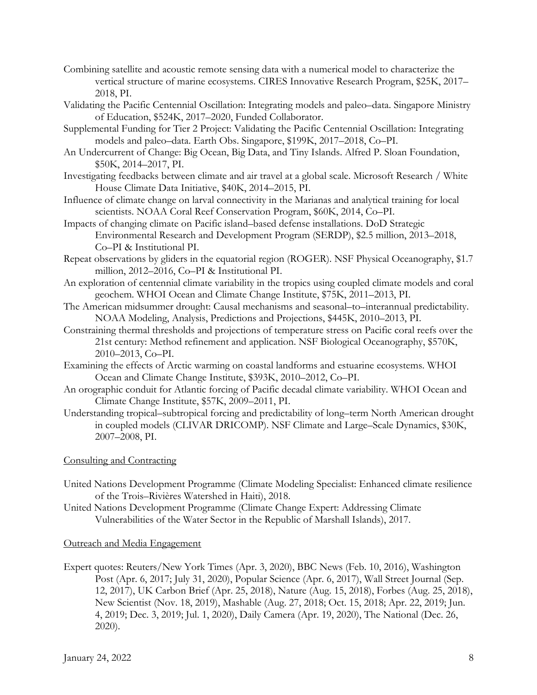- Combining satellite and acoustic remote sensing data with a numerical model to characterize the vertical structure of marine ecosystems. CIRES Innovative Research Program, \$25K, 2017– 2018, PI.
- Validating the Pacific Centennial Oscillation: Integrating models and paleo–data. Singapore Ministry of Education, \$524K, 2017–2020, Funded Collaborator.
- Supplemental Funding for Tier 2 Project: Validating the Pacific Centennial Oscillation: Integrating models and paleo–data. Earth Obs. Singapore, \$199K, 2017–2018, Co–PI.
- An Undercurrent of Change: Big Ocean, Big Data, and Tiny Islands. Alfred P. Sloan Foundation, \$50K, 2014–2017, PI.
- Investigating feedbacks between climate and air travel at a global scale. Microsoft Research / White House Climate Data Initiative, \$40K, 2014–2015, PI.
- Influence of climate change on larval connectivity in the Marianas and analytical training for local scientists. NOAA Coral Reef Conservation Program, \$60K, 2014, Co–PI.
- Impacts of changing climate on Pacific island–based defense installations. DoD Strategic Environmental Research and Development Program (SERDP), \$2.5 million, 2013–2018, Co–PI & Institutional PI.
- Repeat observations by gliders in the equatorial region (ROGER). NSF Physical Oceanography, \$1.7 million, 2012–2016, Co–PI & Institutional PI.
- An exploration of centennial climate variability in the tropics using coupled climate models and coral geochem. WHOI Ocean and Climate Change Institute, \$75K, 2011–2013, PI.
- The American midsummer drought: Causal mechanisms and seasonal–to–interannual predictability. NOAA Modeling, Analysis, Predictions and Projections, \$445K, 2010–2013, PI.
- Constraining thermal thresholds and projections of temperature stress on Pacific coral reefs over the 21st century: Method refinement and application. NSF Biological Oceanography, \$570K, 2010–2013, Co–PI.
- Examining the effects of Arctic warming on coastal landforms and estuarine ecosystems. WHOI Ocean and Climate Change Institute, \$393K, 2010–2012, Co–PI.
- An orographic conduit for Atlantic forcing of Pacific decadal climate variability. WHOI Ocean and Climate Change Institute, \$57K, 2009–2011, PI.
- Understanding tropical–subtropical forcing and predictability of long–term North American drought in coupled models (CLIVAR DRICOMP). NSF Climate and Large–Scale Dynamics, \$30K, 2007–2008, PI.

# Consulting and Contracting

- United Nations Development Programme (Climate Modeling Specialist: Enhanced climate resilience of the Trois–Rivières Watershed in Haiti), 2018.
- United Nations Development Programme (Climate Change Expert: Addressing Climate Vulnerabilities of the Water Sector in the Republic of Marshall Islands), 2017.

# Outreach and Media Engagement

Expert quotes: Reuters/New York Times (Apr. 3, 2020), BBC News (Feb. 10, 2016), Washington Post (Apr. 6, 2017; July 31, 2020), Popular Science (Apr. 6, 2017), Wall Street Journal (Sep. 12, 2017), UK Carbon Brief (Apr. 25, 2018), Nature (Aug. 15, 2018), Forbes (Aug. 25, 2018), New Scientist (Nov. 18, 2019), Mashable (Aug. 27, 2018; Oct. 15, 2018; Apr. 22, 2019; Jun. 4, 2019; Dec. 3, 2019; Jul. 1, 2020), Daily Camera (Apr. 19, 2020), The National (Dec. 26, 2020).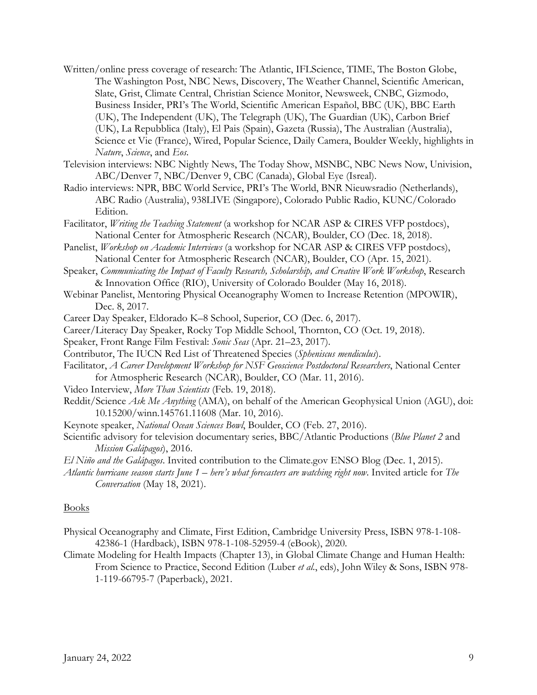- Written/online press coverage of research: The Atlantic, IFLScience, TIME, The Boston Globe, The Washington Post, NBC News, Discovery, The Weather Channel, Scientific American, Slate, Grist, Climate Central, Christian Science Monitor, Newsweek, CNBC, Gizmodo, Business Insider, PRI's The World, Scientific American Español, BBC (UK), BBC Earth (UK), The Independent (UK), The Telegraph (UK), The Guardian (UK), Carbon Brief (UK), La Repubblica (Italy), El Pais (Spain), Gazeta (Russia), The Australian (Australia), Science et Vie (France), Wired, Popular Science, Daily Camera, Boulder Weekly, highlights in *Nature*, *Science*, and *Eos*.
- Television interviews: NBC Nightly News, The Today Show, MSNBC, NBC News Now, Univision, ABC/Denver 7, NBC/Denver 9, CBC (Canada), Global Eye (Isreal).
- Radio interviews: NPR, BBC World Service, PRI's The World, BNR Nieuwsradio (Netherlands), ABC Radio (Australia), 938LIVE (Singapore), Colorado Public Radio, KUNC/Colorado Edition.
- Facilitator, *Writing the Teaching Statement* (a workshop for NCAR ASP & CIRES VFP postdocs), National Center for Atmospheric Research (NCAR), Boulder, CO (Dec. 18, 2018).
- Panelist, *Workshop on Academic Interviews* (a workshop for NCAR ASP & CIRES VFP postdocs), National Center for Atmospheric Research (NCAR), Boulder, CO (Apr. 15, 2021).
- Speaker, *Communicating the Impact of Faculty Research, Scholarship, and Creative Work Workshop*, Research & Innovation Office (RIO), University of Colorado Boulder (May 16, 2018).
- Webinar Panelist, Mentoring Physical Oceanography Women to Increase Retention (MPOWIR), Dec. 8, 2017.
- Career Day Speaker, Eldorado K–8 School, Superior, CO (Dec. 6, 2017).
- Career/Literacy Day Speaker, Rocky Top Middle School, Thornton, CO (Oct. 19, 2018).
- Speaker, Front Range Film Festival: *Sonic Seas* (Apr. 21–23, 2017).
- Contributor, The IUCN Red List of Threatened Species (*Spheniscus mendiculus*).
- Facilitator, *A Career Development Workshop for NSF Geoscience Postdoctoral Researchers*, National Center for Atmospheric Research (NCAR), Boulder, CO (Mar. 11, 2016).
- Video Interview, *More Than Scientists* (Feb. 19, 2018).
- Reddit/Science *Ask Me Anything* (AMA), on behalf of the American Geophysical Union (AGU), doi: 10.15200/winn.145761.11608 (Mar. 10, 2016).
- Keynote speaker, *National Ocean Sciences Bowl*, Boulder, CO (Feb. 27, 2016).
- Scientific advisory for television documentary series, BBC/Atlantic Productions (*Blue Planet 2* and *Mission Galápagos*), 2016.
- *El Niño and the Galápagos*. Invited contribution to the Climate.gov ENSO Blog (Dec. 1, 2015).
- *Atlantic hurricane season starts June 1 – here's what forecasters are watching right now*. Invited article for *The Conversation* (May 18, 2021).

### Books

- Physical Oceanography and Climate, First Edition, Cambridge University Press, ISBN 978-1-108- 42386-1 (Hardback), ISBN 978-1-108-52959-4 (eBook), 2020.
- Climate Modeling for Health Impacts (Chapter 13), in Global Climate Change and Human Health: From Science to Practice, Second Edition (Luber *et al.*, eds), John Wiley & Sons, ISBN 978- 1-119-66795-7 (Paperback), 2021.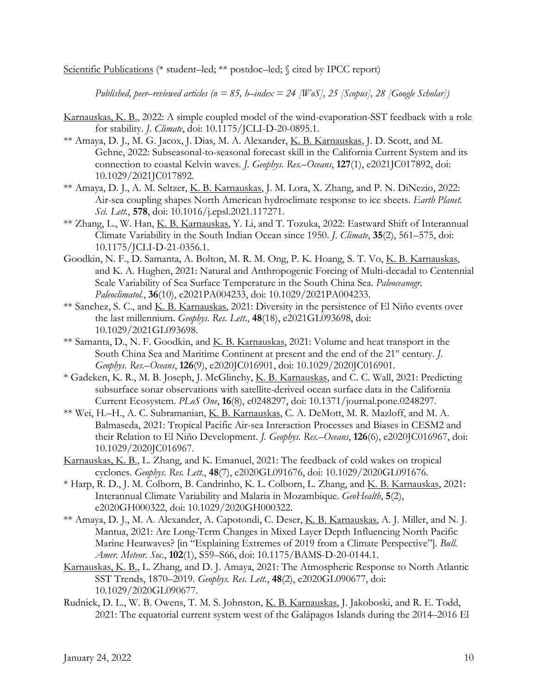Scientific Publications (\* student–led; \*\* postdoc–led; § cited by IPCC report)

*Published, peer–reviewed articles (n = 85, h–index = 24 [WoS], 25 [Scopus], 28 [Google Scholar])*

- Karnauskas, K. B., 2022: A simple coupled model of the wind-evaporation-SST feedback with a role for stability. *J. Climate*, doi: 10.1175/JCLI-D-20-0895.1.
- \*\* Amaya, D. J., M. G. Jacox, J. Dias, M. A. Alexander, K. B. Karnauskas, J. D. Scott, and M. Gehne, 2022: Subseasonal-to-seasonal forecast skill in the California Current System and its connection to coastal Kelvin waves. *J. Geophys. Res.–Oceans*, **127**(1), e2021JC017892, doi: 10.1029/2021JC017892.
- \*\* Amaya, D. J., A. M. Seltzer, K. B. Karnauskas, J. M. Lora, X. Zhang, and P. N. DiNezio, 2022: Air-sea coupling shapes North American hydroclimate response to ice sheets. *Earth Planet. Sci. Lett.*, **578**, doi: 10.1016/j.epsl.2021.117271.
- \*\* Zhang, L., W. Han, K. B. Karnauskas, Y. Li, and T. Tozuka, 2022: Eastward Shift of Interannual Climate Variability in the South Indian Ocean since 1950. *J. Climate*, **35**(2), 561–575, doi: 10.1175/JCLI-D-21-0356.1.
- Goodkin, N. F., D. Samanta, A. Bolton, M. R. M. Ong, P. K. Hoang, S. T. Vo, K. B. Karnauskas, and K. A. Hughen, 2021: Natural and Anthropogenic Forcing of Multi-decadal to Centennial Scale Variability of Sea Surface Temperature in the South China Sea. *Paleoceanogr. Paleoclimatol.*, **36**(10), e2021PA004233, doi: 10.1029/2021PA004233.
- \*\* Sanchez, S. C., and K. B. Karnauskas, 2021: Diversity in the persistence of El Niño events over the last millennium. *Geophys. Res. Lett.*, **48**(18), e2021GL093698, doi: 10.1029/2021GL093698.
- \*\* Samanta, D., N. F. Goodkin, and K. B. Karnauskas, 2021: Volume and heat transport in the South China Sea and Maritime Continent at present and the end of the 21<sup>st</sup> century. *J. Geophys. Res.–Oceans*, **126**(9), e2020JC016901, doi: 10.1029/2020JC016901.
- \* Gadeken, K. R., M. B. Joseph, J. McGlinchy, K. B. Karnauskas, and C. C. Wall, 2021: Predicting subsurface sonar observations with satellite-derived ocean surface data in the California Current Ecosystem. *PLoS One*, **16**(8), e0248297, doi: 10.1371/journal.pone.0248297.
- \*\* Wei, H.–H., A. C. Subramanian, K. B. Karnauskas, C. A. DeMott, M. R. Mazloff, and M. A. Balmaseda, 2021: Tropical Pacific Air-sea Interaction Processes and Biases in CESM2 and their Relation to El Niño Development. *J. Geophys. Res.–Oceans*, **126**(6), e2020JC016967, doi: 10.1029/2020JC016967.
- Karnauskas, K. B., L. Zhang, and K. Emanuel, 2021: The feedback of cold wakes on tropical cyclones. *Geophys. Res. Lett.*, **48**(7), e2020GL091676, doi: 10.1029/2020GL091676.
- \* Harp, R. D., J. M. Colborn, B. Candrinho, K. L. Colborn, L. Zhang, and K. B. Karnauskas, 2021: Interannual Climate Variability and Malaria in Mozambique. *GeoHealth*, **5**(2), e2020GH000322, doi: 10.1029/2020GH000322.
- \*\* Amaya, D. J., M. A. Alexander, A. Capotondi, C. Deser, K. B. Karnauskas, A. J. Miller, and N. J. Mantua, 2021: Are Long-Term Changes in Mixed Layer Depth Influencing North Pacific Marine Heatwaves? [in "Explaining Extremes of 2019 from a Climate Perspective"]. *Bull. Amer. Meteor. Soc.*, **102**(1), S59–S66, doi: 10.1175/BAMS-D-20-0144.1.
- Karnauskas, K. B., L. Zhang, and D. J. Amaya, 2021: The Atmospheric Response to North Atlantic SST Trends, 1870–2019. *Geophys. Res. Lett.*, **48**(2), e2020GL090677, doi: 10.1029/2020GL090677.
- Rudnick, D. L., W. B. Owens, T. M. S. Johnston, K. B. Karnauskas, J. Jakoboski, and R. E. Todd, 2021: The equatorial current system west of the Galápagos Islands during the 2014–2016 El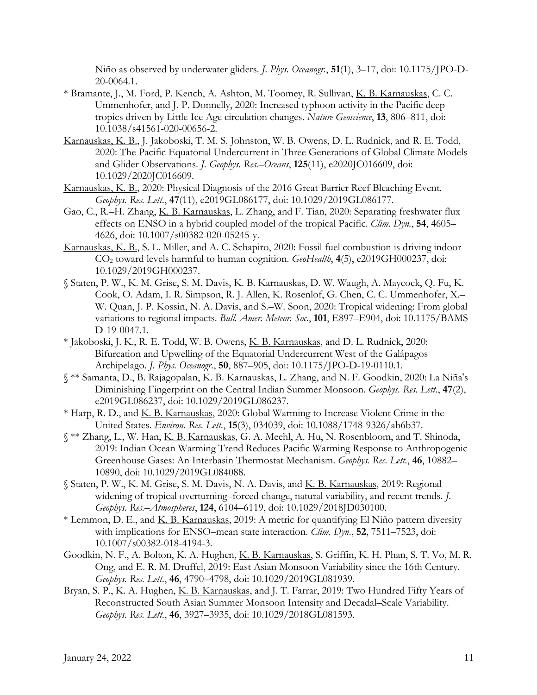Niño as observed by underwater gliders. *J. Phys. Oceanogr.*, **51**(1), 3–17, doi: 10.1175/JPO-D-20-0064.1.

- \* Bramante, J., M. Ford, P. Kench, A. Ashton, M. Toomey, R. Sullivan, K. B. Karnauskas, C. C. Ummenhofer, and J. P. Donnelly, 2020: Increased typhoon activity in the Pacific deep tropics driven by Little Ice Age circulation changes. *Nature Geoscience*, **13**, 806–811, doi: 10.1038/s41561-020-00656-2.
- Karnauskas, K. B., J. Jakoboski, T. M. S. Johnston, W. B. Owens, D. L. Rudnick, and R. E. Todd, 2020: The Pacific Equatorial Undercurrent in Three Generations of Global Climate Models and Glider Observations. *J. Geophys. Res.–Oceans*, **125**(11), e2020JC016609, doi: 10.1029/2020JC016609.
- Karnauskas, K. B., 2020: Physical Diagnosis of the 2016 Great Barrier Reef Bleaching Event. *Geophys. Res. Lett.*, **47**(11), e2019GL086177, doi: 10.1029/2019GL086177.
- Gao, C., R.–H. Zhang, K. B. Karnauskas, L. Zhang, and F. Tian, 2020: Separating freshwater flux effects on ENSO in a hybrid coupled model of the tropical Pacific. *Clim. Dyn.*, **54**, 4605– 4626, doi: 10.1007/s00382-020-05245-y.
- Karnauskas, K. B., S. L. Miller, and A. C. Schapiro, 2020: Fossil fuel combustion is driving indoor CO2 toward levels harmful to human cognition. *GeoHealth*, **4**(5), e2019GH000237, doi: 10.1029/2019GH000237.
- § Staten, P. W., K. M. Grise, S. M. Davis, K. B. Karnauskas, D. W. Waugh, A. Maycock, Q. Fu, K. Cook, O. Adam, I. R. Simpson, R. J. Allen, K. Rosenlof, G. Chen, C. C. Ummenhofer, X.– W. Quan, J. P. Kossin, N. A. Davis, and S.–W. Soon, 2020: Tropical widening: From global variations to regional impacts. *Bull. Amer. Meteor. Soc.*, **101**, E897–E904, doi: 10.1175/BAMS-D-19-0047.1.
- \* Jakoboski, J. K., R. E. Todd, W. B. Owens, K. B. Karnauskas, and D. L. Rudnick, 2020: Bifurcation and Upwelling of the Equatorial Undercurrent West of the Galápagos Archipelago. *J. Phys. Oceanogr.*, **50**, 887–905, doi: 10.1175/JPO-D-19-0110.1.
- § \*\* Samanta, D., B. Rajagopalan, K. B. Karnauskas, L. Zhang, and N. F. Goodkin, 2020: La Niña's Diminishing Fingerprint on the Central Indian Summer Monsoon. *Geophys. Res. Lett.*, **47**(2), e2019GL086237, doi: 10.1029/2019GL086237.
- \* Harp, R. D., and K. B. Karnauskas, 2020: Global Warming to Increase Violent Crime in the United States. *Environ. Res. Lett.*, **15**(3), 034039, doi: 10.1088/1748-9326/ab6b37.
- § \*\* Zhang, L., W. Han, K. B. Karnauskas, G. A. Meehl, A. Hu, N. Rosenbloom, and T. Shinoda, 2019: Indian Ocean Warming Trend Reduces Pacific Warming Response to Anthropogenic Greenhouse Gases: An Interbasin Thermostat Mechanism. *Geophys. Res. Lett.*, **46**, 10882– 10890, doi: 10.1029/2019GL084088.
- § Staten, P. W., K. M. Grise, S. M. Davis, N. A. Davis, and K. B. Karnauskas, 2019: Regional widening of tropical overturning–forced change, natural variability, and recent trends. *J. Geophys. Res.–Atmospheres*, **124**, 6104–6119, doi: 10.1029/2018JD030100.
- \* Lemmon, D. E., and K. B. Karnauskas, 2019: A metric for quantifying El Niño pattern diversity with implications for ENSO–mean state interaction. *Clim. Dyn.*, **52**, 7511–7523, doi: 10.1007/s00382-018-4194-3.
- Goodkin, N. F., A. Bolton, K. A. Hughen, K. B. Karnauskas, S. Griffin, K. H. Phan, S. T. Vo, M. R. Ong, and E. R. M. Druffel, 2019: East Asian Monsoon Variability since the 16th Century. *Geophys. Res. Lett.*, **46**, 4790–4798, doi: 10.1029/2019GL081939.
- Bryan, S. P., K. A. Hughen, K. B. Karnauskas, and J. T. Farrar, 2019: Two Hundred Fifty Years of Reconstructed South Asian Summer Monsoon Intensity and Decadal–Scale Variability. *Geophys. Res. Lett.*, **46**, 3927–3935, doi: 10.1029/2018GL081593.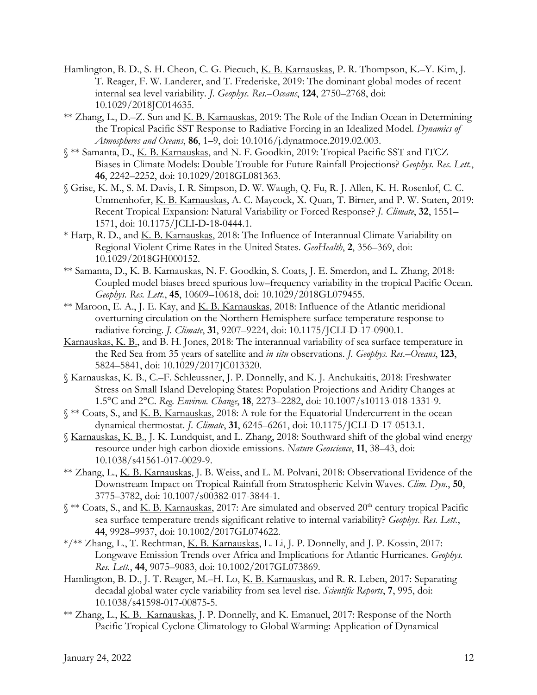- Hamlington, B. D., S. H. Cheon, C. G. Piecuch, K. B. Karnauskas, P. R. Thompson, K.–Y. Kim, J. T. Reager, F. W. Landerer, and T. Frederiske, 2019: The dominant global modes of recent internal sea level variability. *J. Geophys. Res.–Oceans*, **124**, 2750–2768, doi: 10.1029/2018JC014635.
- \*\* Zhang, L., D.–Z. Sun and K. B. Karnauskas, 2019: The Role of the Indian Ocean in Determining the Tropical Pacific SST Response to Radiative Forcing in an Idealized Model. *Dynamics of Atmospheres and Oceans*, **86**, 1–9, doi: 10.1016/j.dynatmoce.2019.02.003.
- § \*\* Samanta, D., K. B. Karnauskas, and N. F. Goodkin, 2019: Tropical Pacific SST and ITCZ Biases in Climate Models: Double Trouble for Future Rainfall Projections? *Geophys. Res. Lett.*, **46**, 2242–2252, doi: 10.1029/2018GL081363.
- § Grise, K. M., S. M. Davis, I. R. Simpson, D. W. Waugh, Q. Fu, R. J. Allen, K. H. Rosenlof, C. C. Ummenhofer, K. B. Karnauskas, A. C. Maycock, X. Quan, T. Birner, and P. W. Staten, 2019: Recent Tropical Expansion: Natural Variability or Forced Response? *J. Climate*, **32**, 1551– 1571, doi: 10.1175/JCLI-D-18-0444.1.
- \* Harp, R. D., and <u>K. B. Karnauskas</u>, 2018: The Influence of Interannual Climate Variability on Regional Violent Crime Rates in the United States. *GeoHealth*, **2**, 356–369, doi: 10.1029/2018GH000152.
- \*\* Samanta, D., K. B. Karnauskas, N. F. Goodkin, S. Coats, J. E. Smerdon, and L. Zhang, 2018: Coupled model biases breed spurious low–frequency variability in the tropical Pacific Ocean. *Geophys. Res. Lett.*, **45**, 10609–10618, doi: 10.1029/2018GL079455.
- \*\* Maroon, E. A., J. E. Kay, and K. B. Karnauskas, 2018: Influence of the Atlantic meridional overturning circulation on the Northern Hemisphere surface temperature response to radiative forcing. *J. Climate*, **31**, 9207–9224, doi: 10.1175/JCLI-D-17-0900.1.
- Karnauskas, K. B., and B. H. Jones, 2018: The interannual variability of sea surface temperature in the Red Sea from 35 years of satellite and *in situ* observations. *J. Geophys. Res.–Oceans*, **123**, 5824–5841, doi: 10.1029/2017JC013320.
- § Karnauskas, K. B., C.–F. Schleussner, J. P. Donnelly, and K. J. Anchukaitis, 2018: Freshwater Stress on Small Island Developing States: Population Projections and Aridity Changes at 1.5°C and 2°C. *Reg. Environ. Change*, **18**, 2273–2282, doi: 10.1007/s10113-018-1331-9.
- § \*\* Coats, S., and K. B. Karnauskas, 2018: A role for the Equatorial Undercurrent in the ocean dynamical thermostat. *J. Climate*, **31**, 6245–6261, doi: 10.1175/JCLI-D-17-0513.1.
- § Karnauskas, K. B., J. K. Lundquist, and L. Zhang, 2018: Southward shift of the global wind energy resource under high carbon dioxide emissions. *Nature Geoscience*, **11**, 38–43, doi: 10.1038/s41561-017-0029-9.
- \*\* Zhang, L., K. B. Karnauskas, J. B. Weiss, and L. M. Polvani, 2018: Observational Evidence of the Downstream Impact on Tropical Rainfall from Stratospheric Kelvin Waves. *Clim. Dyn.*, **50**, 3775–3782, doi: 10.1007/s00382-017-3844-1.
- § \*\* Coats, S., and <u>K. B. Karnauskas</u>, 2017: Are simulated and observed 20<sup>th</sup> century tropical Pacific sea surface temperature trends significant relative to internal variability? *Geophys. Res. Lett.*, **44**, 9928–9937, doi: 10.1002/2017GL074622.
- \*/\*\* Zhang, L., T. Rechtman, K. B. Karnauskas, L. Li, J. P. Donnelly, and J. P. Kossin, 2017: Longwave Emission Trends over Africa and Implications for Atlantic Hurricanes. *Geophys. Res. Lett.*, **44**, 9075–9083, doi: 10.1002/2017GL073869.
- Hamlington, B. D., J. T. Reager, M.-H. Lo, K. B. Karnauskas, and R. R. Leben, 2017: Separating decadal global water cycle variability from sea level rise. *Scientific Reports*, **7**, 995, doi: 10.1038/s41598-017-00875-5.
- \*\* Zhang, L., K. B. Karnauskas, J. P. Donnelly, and K. Emanuel, 2017: Response of the North Pacific Tropical Cyclone Climatology to Global Warming: Application of Dynamical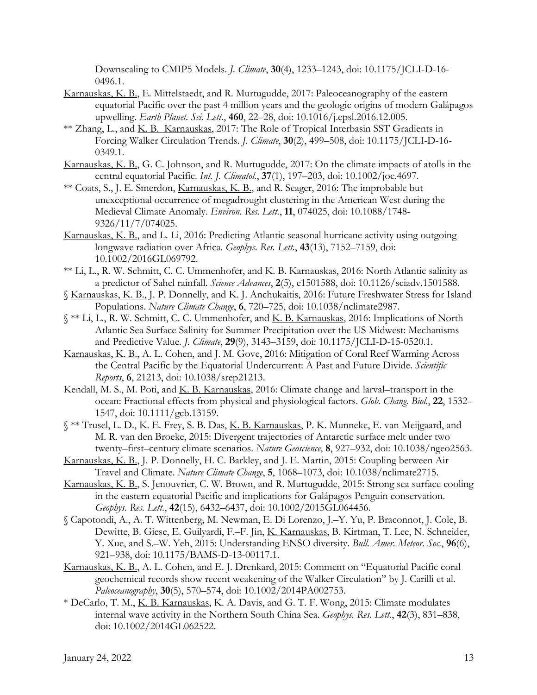Downscaling to CMIP5 Models. *J. Climate*, **30**(4), 1233–1243, doi: 10.1175/JCLI-D-16- 0496.1.

- Karnauskas, K. B., E. Mittelstaedt, and R. Murtugudde, 2017: Paleoceanography of the eastern equatorial Pacific over the past 4 million years and the geologic origins of modern Galápagos upwelling. *Earth Planet. Sci. Lett.*, **460**, 22–28, doi: 10.1016/j.epsl.2016.12.005.
- \*\* Zhang, L., and K. B. Karnauskas, 2017: The Role of Tropical Interbasin SST Gradients in Forcing Walker Circulation Trends. *J. Climate*, **30**(2), 499–508, doi: 10.1175/JCLI-D-16- 0349.1.
- Karnauskas, K. B., G. C. Johnson, and R. Murtugudde, 2017: On the climate impacts of atolls in the central equatorial Pacific. *Int. J. Climatol.*, **37**(1), 197–203, doi: 10.1002/joc.4697.
- \*\* Coats, S., J. E. Smerdon, *Karnauskas, K. B.*, and R. Seager, 2016: The improbable but unexceptional occurrence of megadrought clustering in the American West during the Medieval Climate Anomaly. *Environ. Res. Lett.*, **11**, 074025, doi: 10.1088/1748- 9326/11/7/074025.
- Karnauskas, K. B., and L. Li, 2016: Predicting Atlantic seasonal hurricane activity using outgoing longwave radiation over Africa. *Geophys. Res. Lett.*, **43**(13), 7152–7159, doi: 10.1002/2016GL069792.
- \*\* Li, L., R. W. Schmitt, C. C. Ummenhofer, and K. B. Karnauskas, 2016: North Atlantic salinity as a predictor of Sahel rainfall. *Science Advances*, **2**(5), e1501588, doi: 10.1126/sciadv.1501588.
- § Karnauskas, K. B., J. P. Donnelly, and K. J. Anchukaitis, 2016: Future Freshwater Stress for Island Populations. *Nature Climate Change*, **6**, 720–725, doi: 10.1038/nclimate2987.
- § \*\* Li, L., R. W. Schmitt, C. C. Ummenhofer, and K. B. Karnauskas, 2016: Implications of North Atlantic Sea Surface Salinity for Summer Precipitation over the US Midwest: Mechanisms and Predictive Value. *J. Climate*, **29**(9), 3143–3159, doi: 10.1175/JCLI-D-15-0520.1.
- Karnauskas, K. B., A. L. Cohen, and J. M. Gove, 2016: Mitigation of Coral Reef Warming Across the Central Pacific by the Equatorial Undercurrent: A Past and Future Divide. *Scientific Reports*, **6**, 21213, doi: 10.1038/srep21213.
- Kendall, M. S., M. Poti, and K. B. Karnauskas, 2016: Climate change and larval–transport in the ocean: Fractional effects from physical and physiological factors. *Glob. Chang. Biol.*, **22**, 1532– 1547, doi: 10.1111/gcb.13159.
- § \*\* Trusel, L. D., K. E. Frey, S. B. Das, K. B. Karnauskas, P. K. Munneke, E. van Meijgaard, and M. R. van den Broeke, 2015: Divergent trajectories of Antarctic surface melt under two twenty–first–century climate scenarios. *Nature Geoscience*, **8**, 927–932, doi: 10.1038/ngeo2563.
- Karnauskas, K. B., J. P. Donnelly, H. C. Barkley, and J. E. Martin, 2015: Coupling between Air Travel and Climate. *Nature Climate Change*, **5**, 1068–1073, doi: 10.1038/nclimate2715.
- Karnauskas, K. B., S. Jenouvrier, C. W. Brown, and R. Murtugudde, 2015: Strong sea surface cooling in the eastern equatorial Pacific and implications for Galápagos Penguin conservation. *Geophys. Res. Lett.*, **42**(15), 6432–6437, doi: 10.1002/2015GL064456.
- § Capotondi, A., A. T. Wittenberg, M. Newman, E. Di Lorenzo, J.–Y. Yu, P. Braconnot, J. Cole, B. Dewitte, B. Giese, E. Guilyardi, F.–F. Jin, K. Karnauskas, B. Kirtman, T. Lee, N. Schneider, Y. Xue, and S.–W. Yeh, 2015: Understanding ENSO diversity. *Bull. Amer. Meteor. Soc.*, **96**(6), 921–938, doi: 10.1175/BAMS-D-13-00117.1.
- Karnauskas, K. B., A. L. Cohen, and E. J. Drenkard, 2015: Comment on "Equatorial Pacific coral geochemical records show recent weakening of the Walker Circulation" by J. Carilli et al. *Paleoceanography*, **30**(5), 570–574, doi: 10.1002/2014PA002753.
- \* DeCarlo, T. M., K. B. Karnauskas, K. A. Davis, and G. T. F. Wong, 2015: Climate modulates internal wave activity in the Northern South China Sea. *Geophys. Res. Lett.*, **42**(3), 831–838, doi: 10.1002/2014GL062522.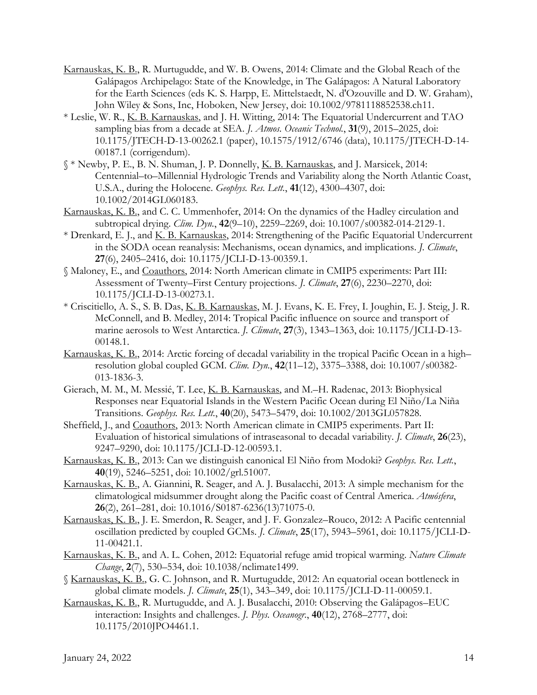- Karnauskas, K. B., R. Murtugudde, and W. B. Owens, 2014: Climate and the Global Reach of the Galápagos Archipelago: State of the Knowledge, in The Galápagos: A Natural Laboratory for the Earth Sciences (eds K. S. Harpp, E. Mittelstaedt, N. d'Ozouville and D. W. Graham), John Wiley & Sons, Inc, Hoboken, New Jersey, doi: 10.1002/9781118852538.ch11.
- \* Leslie, W. R., K. B. Karnauskas, and J. H. Witting, 2014: The Equatorial Undercurrent and TAO sampling bias from a decade at SEA. *J. Atmos. Oceanic Technol.*, **31**(9), 2015–2025, doi: 10.1175/JTECH-D-13-00262.1 (paper), 10.1575/1912/6746 (data), 10.1175/JTECH-D-14- 00187.1 (corrigendum).
- § \* Newby, P. E., B. N. Shuman, J. P. Donnelly, K. B. Karnauskas, and J. Marsicek, 2014: Centennial–to–Millennial Hydrologic Trends and Variability along the North Atlantic Coast, U.S.A., during the Holocene. *Geophys. Res. Lett.*, **41**(12), 4300–4307, doi: 10.1002/2014GL060183.
- Karnauskas, K. B., and C. C. Ummenhofer, 2014: On the dynamics of the Hadley circulation and subtropical drying. *Clim. Dyn.*, **42**(9–10), 2259–2269, doi: 10.1007/s00382-014-2129-1.
- \* Drenkard, E. J., and K. B. Karnauskas, 2014: Strengthening of the Pacific Equatorial Undercurrent in the SODA ocean reanalysis: Mechanisms, ocean dynamics, and implications. *J. Climate*, **27**(6), 2405–2416, doi: 10.1175/JCLI-D-13-00359.1.
- § Maloney, E., and Coauthors, 2014: North American climate in CMIP5 experiments: Part III: Assessment of Twenty–First Century projections. *J. Climate*, **27**(6), 2230–2270, doi: 10.1175/JCLI-D-13-00273.1.
- \* Criscitiello, A. S., S. B. Das, K. B. Karnauskas, M. J. Evans, K. E. Frey, I. Joughin, E. J. Steig, J. R. McConnell, and B. Medley, 2014: Tropical Pacific influence on source and transport of marine aerosols to West Antarctica. *J. Climate*, **27**(3), 1343–1363, doi: 10.1175/JCLI-D-13- 00148.1.
- Karnauskas, K. B., 2014: Arctic forcing of decadal variability in the tropical Pacific Ocean in a high– resolution global coupled GCM. *Clim. Dyn.*, **42**(11–12), 3375–3388, doi: 10.1007/s00382- 013-1836-3.
- Gierach, M. M., M. Messié, T. Lee, K. B. Karnauskas, and M.–H. Radenac, 2013: Biophysical Responses near Equatorial Islands in the Western Pacific Ocean during El Niño/La Niña Transitions. *Geophys. Res. Lett.*, **40**(20), 5473–5479, doi: 10.1002/2013GL057828.
- Sheffield, J., and Coauthors, 2013: North American climate in CMIP5 experiments. Part II: Evaluation of historical simulations of intraseasonal to decadal variability. *J. Climate*, **26**(23), 9247–9290, doi: 10.1175/JCLI-D-12-00593.1.
- Karnauskas, K. B., 2013: Can we distinguish canonical El Niño from Modoki? *Geophys. Res. Lett.*, **40**(19), 5246–5251, doi: 10.1002/grl.51007.
- Karnauskas, K. B., A. Giannini, R. Seager, and A. J. Busalacchi, 2013: A simple mechanism for the climatological midsummer drought along the Pacific coast of Central America. *Atmósfera*, **26**(2), 261–281, doi: 10.1016/S0187-6236(13)71075-0.
- Karnauskas, K. B., J. E. Smerdon, R. Seager, and J. F. Gonzalez–Rouco, 2012: A Pacific centennial oscillation predicted by coupled GCMs. *J. Climate*, **25**(17), 5943–5961, doi: 10.1175/JCLI-D-11-00421.1.
- Karnauskas, K. B., and A. L. Cohen, 2012: Equatorial refuge amid tropical warming. *Nature Climate Change*, **2**(7), 530–534, doi: 10.1038/nclimate1499.
- § Karnauskas, K. B., G. C. Johnson, and R. Murtugudde, 2012: An equatorial ocean bottleneck in global climate models. *J. Climate*, **25**(1), 343–349, doi: 10.1175/JCLI-D-11-00059.1.
- Karnauskas, K. B., R. Murtugudde, and A. J. Busalacchi, 2010: Observing the Galápagos–EUC interaction: Insights and challenges. *J. Phys. Oceanogr.*, **40**(12), 2768–2777, doi: 10.1175/2010JPO4461.1.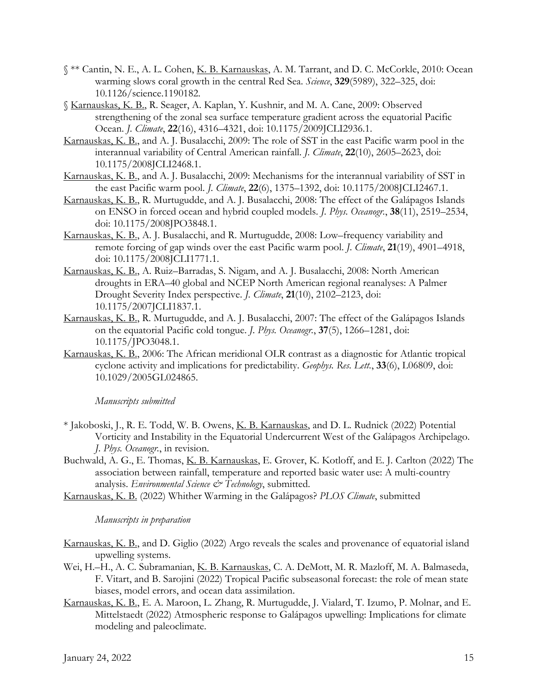- § \*\* Cantin, N. E., A. L. Cohen, K. B. Karnauskas, A. M. Tarrant, and D. C. McCorkle, 2010: Ocean warming slows coral growth in the central Red Sea. *Science*, **329**(5989), 322–325, doi: 10.1126/science.1190182.
- § Karnauskas, K. B., R. Seager, A. Kaplan, Y. Kushnir, and M. A. Cane, 2009: Observed strengthening of the zonal sea surface temperature gradient across the equatorial Pacific Ocean. *J. Climate*, **22**(16), 4316–4321, doi: 10.1175/2009JCLI2936.1.
- Karnauskas, K. B., and A. J. Busalacchi, 2009: The role of SST in the east Pacific warm pool in the interannual variability of Central American rainfall. *J. Climate*, **22**(10), 2605–2623, doi: 10.1175/2008JCLI2468.1.
- Karnauskas, K. B., and A. J. Busalacchi, 2009: Mechanisms for the interannual variability of SST in the east Pacific warm pool. *J. Climate*, **22**(6), 1375–1392, doi: 10.1175/2008JCLI2467.1.
- Karnauskas, K. B., R. Murtugudde, and A. J. Busalacchi, 2008: The effect of the Galápagos Islands on ENSO in forced ocean and hybrid coupled models. *J. Phys. Oceanogr.*, **38**(11), 2519–2534, doi: 10.1175/2008JPO3848.1.
- Karnauskas, K. B., A. J. Busalacchi, and R. Murtugudde, 2008: Low–frequency variability and remote forcing of gap winds over the east Pacific warm pool. *J. Climate*, **21**(19), 4901–4918, doi: 10.1175/2008JCLI1771.1.
- Karnauskas, K. B., A. Ruiz–Barradas, S. Nigam, and A. J. Busalacchi, 2008: North American droughts in ERA–40 global and NCEP North American regional reanalyses: A Palmer Drought Severity Index perspective. *J. Climate*, **21**(10), 2102–2123, doi: 10.1175/2007JCLI1837.1.
- Karnauskas, K. B., R. Murtugudde, and A. J. Busalacchi, 2007: The effect of the Galápagos Islands on the equatorial Pacific cold tongue. *J. Phys. Oceanogr.*, **37**(5), 1266–1281, doi: 10.1175/JPO3048.1.
- Karnauskas, K. B., 2006: The African meridional OLR contrast as a diagnostic for Atlantic tropical cyclone activity and implications for predictability. *Geophys. Res. Lett.*, **33**(6), L06809, doi: 10.1029/2005GL024865.

*Manuscripts submitted*

- \* Jakoboski, J., R. E. Todd, W. B. Owens, K. B. Karnauskas, and D. L. Rudnick (2022) Potential Vorticity and Instability in the Equatorial Undercurrent West of the Galápagos Archipelago. *J. Phys. Oceanogr.*, in revision.
- Buchwald, A. G., E. Thomas, K. B. Karnauskas, E. Grover, K. Kotloff, and E. J. Carlton (2022) The association between rainfall, temperature and reported basic water use: A multi-country analysis. *Environmental Science & Technology*, submitted.
- Karnauskas, K. B. (2022) Whither Warming in the Galápagos? *PLOS Climate*, submitted

*Manuscripts in preparation*

- Karnauskas, K. B., and D. Giglio (2022) Argo reveals the scales and provenance of equatorial island upwelling systems.
- Wei, H.–H., A. C. Subramanian, K. B. Karnauskas, C. A. DeMott, M. R. Mazloff, M. A. Balmaseda, F. Vitart, and B. Sarojini (2022) Tropical Pacific subseasonal forecast: the role of mean state biases, model errors, and ocean data assimilation.
- Karnauskas, K. B., E. A. Maroon, L. Zhang, R. Murtugudde, J. Vialard, T. Izumo, P. Molnar, and E. Mittelstaedt (2022) Atmospheric response to Galápagos upwelling: Implications for climate modeling and paleoclimate.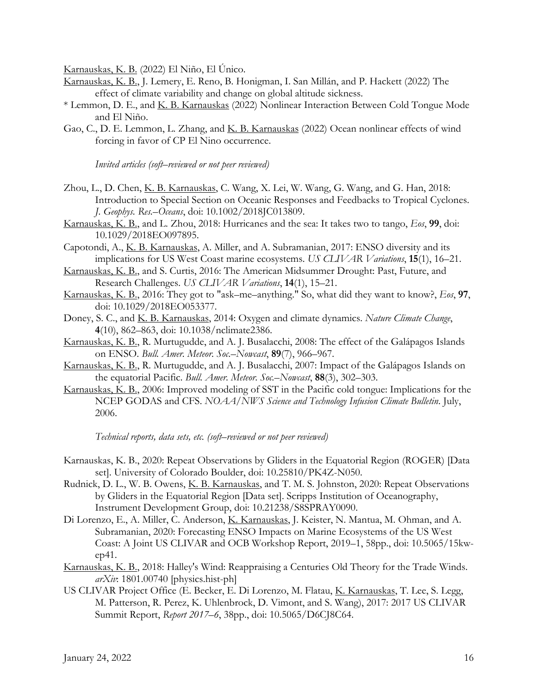Karnauskas, K. B. (2022) El Niño, El Único.

- Karnauskas, K. B., J. Lemery, E. Reno, B. Honigman, I. San Millán, and P. Hackett (2022) The effect of climate variability and change on global altitude sickness.
- \* Lemmon, D. E., and K. B. Karnauskas (2022) Nonlinear Interaction Between Cold Tongue Mode and El Niño.
- Gao, C., D. E. Lemmon, L. Zhang, and K. B. Karnauskas (2022) Ocean nonlinear effects of wind forcing in favor of CP El Nino occurrence.

*Invited articles (soft–reviewed or not peer reviewed)*

- Zhou, L., D. Chen, K. B. Karnauskas, C. Wang, X. Lei, W. Wang, G. Wang, and G. Han, 2018: Introduction to Special Section on Oceanic Responses and Feedbacks to Tropical Cyclones. *J. Geophys. Res.–Oceans*, doi: 10.1002/2018JC013809.
- Karnauskas, K. B., and L. Zhou, 2018: Hurricanes and the sea: It takes two to tango, *Eos*, **99**, doi: 10.1029/2018EO097895.
- Capotondi, A., K. B. Karnauskas, A. Miller, and A. Subramanian, 2017: ENSO diversity and its implications for US West Coast marine ecosystems. *US CLIVAR Variations*, **15**(1), 16–21.
- Karnauskas, K. B., and S. Curtis, 2016: The American Midsummer Drought: Past, Future, and Research Challenges. *US CLIVAR Variations*, **14**(1), 15–21.
- Karnauskas, K. B., 2016: They got to "ask–me–anything." So, what did they want to know?, *Eos*, **97**, doi: 10.1029/2018EO053377.
- Doney, S. C., and K. B. Karnauskas, 2014: Oxygen and climate dynamics. *Nature Climate Change*, **4**(10), 862–863, doi: 10.1038/nclimate2386.
- Karnauskas, K. B., R. Murtugudde, and A. J. Busalacchi, 2008: The effect of the Galápagos Islands on ENSO. *Bull. Amer. Meteor. Soc.–Nowcast*, **89**(7), 966–967.
- Karnauskas, K. B., R. Murtugudde, and A. J. Busalacchi, 2007: Impact of the Galápagos Islands on the equatorial Pacific. *Bull. Amer. Meteor. Soc.–Nowcast*, **88**(3), 302–303.
- Karnauskas, K. B., 2006: Improved modeling of SST in the Pacific cold tongue: Implications for the NCEP GODAS and CFS. *NOAA/NWS Science and Technology Infusion Climate Bulletin*. July, 2006.

*Technical reports, data sets, etc. (soft–reviewed or not peer reviewed)*

- Karnauskas, K. B., 2020: Repeat Observations by Gliders in the Equatorial Region (ROGER) [Data set]. University of Colorado Boulder, doi: 10.25810/PK4Z-N050.
- Rudnick, D. L., W. B. Owens, K. B. Karnauskas, and T. M. S. Johnston, 2020: Repeat Observations by Gliders in the Equatorial Region [Data set]. Scripps Institution of Oceanography, Instrument Development Group, doi: 10.21238/S8SPRAY0090.
- Di Lorenzo, E., A. Miller, C. Anderson, K. Karnauskas, J. Keister, N. Mantua, M. Ohman, and A. Subramanian, 2020: Forecasting ENSO Impacts on Marine Ecosystems of the US West Coast: A Joint US CLIVAR and OCB Workshop Report, 2019–1, 58pp., doi: 10.5065/15kwep41.
- Karnauskas, K. B., 2018: Halley's Wind: Reappraising a Centuries Old Theory for the Trade Winds. *arXiv*: 1801.00740 [physics.hist-ph]
- US CLIVAR Project Office (E. Becker, E. Di Lorenzo, M. Flatau, K. Karnauskas, T. Lee, S. Legg, M. Patterson, R. Perez, K. Uhlenbrock, D. Vimont, and S. Wang), 2017: 2017 US CLIVAR Summit Report, *Report 2017–6*, 38pp., doi: 10.5065/D6CJ8C64.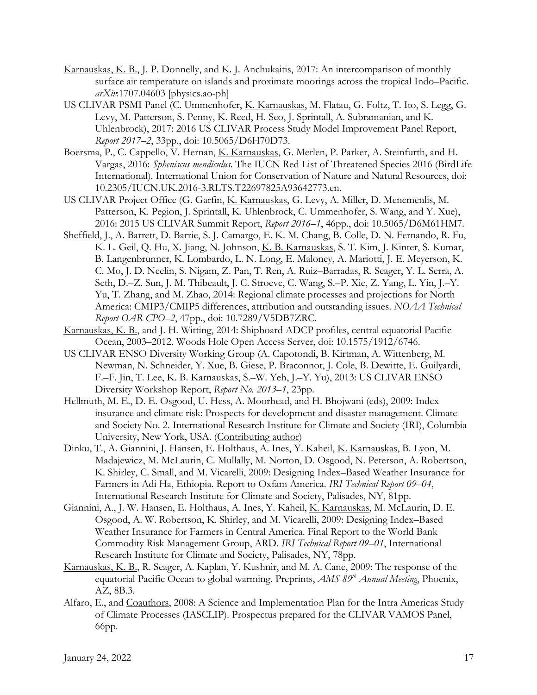- Karnauskas, K. B., J. P. Donnelly, and K. J. Anchukaitis, 2017: An intercomparison of monthly surface air temperature on islands and proximate moorings across the tropical Indo–Pacific. *arXiv*:1707.04603 [physics.ao-ph]
- US CLIVAR PSMI Panel (C. Ummenhofer, K. Karnauskas, M. Flatau, G. Foltz, T. Ito, S. Legg, G. Levy, M. Patterson, S. Penny, K. Reed, H. Seo, J. Sprintall, A. Subramanian, and K. Uhlenbrock), 2017: 2016 US CLIVAR Process Study Model Improvement Panel Report, *Report 2017–2*, 33pp., doi: 10.5065/D6H70D73.
- Boersma, P., C. Cappello, V. Hernan, K. Karnauskas, G. Merlen, P. Parker, A. Steinfurth, and H. Vargas, 2016: *Spheniscus mendiculus*. The IUCN Red List of Threatened Species 2016 (BirdLife International). International Union for Conservation of Nature and Natural Resources, doi: 10.2305/IUCN.UK.2016-3.RLTS.T22697825A93642773.en.
- US CLIVAR Project Office (G. Garfin, K. Karnauskas, G. Levy, A. Miller, D. Menemenlis, M. Patterson, K. Pegion, J. Sprintall, K. Uhlenbrock, C. Ummenhofer, S. Wang, and Y. Xue), 2016: 2015 US CLIVAR Summit Report, *Report 2016–1*, 46pp., doi: 10.5065/D6M61HM7.
- Sheffield, J., A. Barrett, D. Barrie, S. J. Camargo, E. K. M. Chang, B. Colle, D. N. Fernando, R. Fu, K. L. Geil, Q. Hu, X. Jiang, N. Johnson, K. B. Karnauskas, S. T. Kim, J. Kinter, S. Kumar, B. Langenbrunner, K. Lombardo, L. N. Long, E. Maloney, A. Mariotti, J. E. Meyerson, K. C. Mo, J. D. Neelin, S. Nigam, Z. Pan, T. Ren, A. Ruiz–Barradas, R. Seager, Y. L. Serra, A. Seth, D.–Z. Sun, J. M. Thibeault, J. C. Stroeve, C. Wang, S.–P. Xie, Z. Yang, L. Yin, J.–Y. Yu, T. Zhang, and M. Zhao, 2014: Regional climate processes and projections for North America: CMIP3/CMIP5 differences, attribution and outstanding issues. *NOAA Technical Report OAR CPO–2*, 47pp., doi: 10.7289/V5DB7ZRC.
- Karnauskas, K. B., and J. H. Witting, 2014: Shipboard ADCP profiles, central equatorial Pacific Ocean, 2003–2012. Woods Hole Open Access Server, doi: 10.1575/1912/6746.
- US CLIVAR ENSO Diversity Working Group (A. Capotondi, B. Kirtman, A. Wittenberg, M. Newman, N. Schneider, Y. Xue, B. Giese, P. Braconnot, J. Cole, B. Dewitte, E. Guilyardi, F.–F. Jin, T. Lee, K. B. Karnauskas, S.–W. Yeh, J.–Y. Yu), 2013: US CLIVAR ENSO Diversity Workshop Report, *Report No. 2013–1*, 23pp.
- Hellmuth, M. E., D. E. Osgood, U. Hess, A. Moorhead, and H. Bhojwani (eds), 2009: Index insurance and climate risk: Prospects for development and disaster management. Climate and Society No. 2. International Research Institute for Climate and Society (IRI), Columbia University, New York, USA. (Contributing author)
- Dinku, T., A. Giannini, J. Hansen, E. Holthaus, A. Ines, Y. Kaheil, K. Karnauskas, B. Lyon, M. Madajewicz, M. McLaurin, C. Mullally, M. Norton, D. Osgood, N. Peterson, A. Robertson, K. Shirley, C. Small, and M. Vicarelli, 2009: Designing Index–Based Weather Insurance for Farmers in Adi Ha, Ethiopia. Report to Oxfam America. *IRI Technical Report 09–04*, International Research Institute for Climate and Society, Palisades, NY, 81pp.
- Giannini, A., J. W. Hansen, E. Holthaus, A. Ines, Y. Kaheil, K. Karnauskas, M. McLaurin, D. E. Osgood, A. W. Robertson, K. Shirley, and M. Vicarelli, 2009: Designing Index–Based Weather Insurance for Farmers in Central America. Final Report to the World Bank Commodity Risk Management Group, ARD. *IRI Technical Report 09–01*, International Research Institute for Climate and Society, Palisades, NY, 78pp.
- Karnauskas, K. B., R. Seager, A. Kaplan, Y. Kushnir, and M. A. Cane, 2009: The response of the equatorial Pacific Ocean to global warming. Preprints, *AMS 89<sup>th</sup> Annual Meeting*, Phoenix, AZ, 8B.3.
- Alfaro, E., and Coauthors, 2008: A Science and Implementation Plan for the Intra Americas Study of Climate Processes (IASCLIP). Prospectus prepared for the CLIVAR VAMOS Panel, 66pp.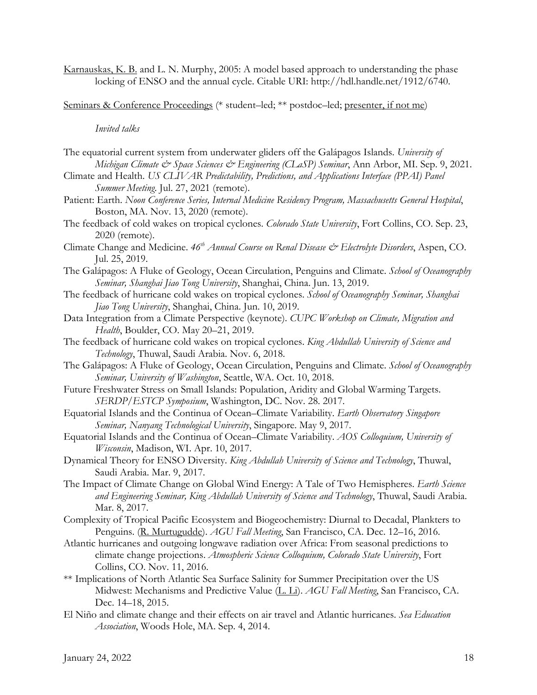Karnauskas, K. B. and L. N. Murphy, 2005: A model based approach to understanding the phase locking of ENSO and the annual cycle. Citable URI: http://hdl.handle.net/1912/6740.

Seminars & Conference Proceedings (\* student–led; \*\* postdoc–led; presenter, if not me)

#### *Invited talks*

- The equatorial current system from underwater gliders off the Galápagos Islands. *University of Michigan Climate & Space Sciences & Engineering (CLaSP) Seminar*, Ann Arbor, MI. Sep. 9, 2021.
- Climate and Health. *US CLIVAR Predictability, Predictions, and Applications Interface (PPAI) Panel Summer Meeting*. Jul. 27, 2021 (remote).
- Patient: Earth. *Noon Conference Series, Internal Medicine Residency Program, Massachusetts General Hospital*, Boston, MA. Nov. 13, 2020 (remote).
- The feedback of cold wakes on tropical cyclones. *Colorado State University*, Fort Collins, CO. Sep. 23, 2020 (remote).
- Climate Change and Medicine. *46th Annual Course on Renal Disease & Electrolyte Disorders*, Aspen, CO. Jul. 25, 2019.
- The Galápagos: A Fluke of Geology, Ocean Circulation, Penguins and Climate. *School of Oceanography Seminar, Shanghai Jiao Tong University*, Shanghai, China. Jun. 13, 2019.
- The feedback of hurricane cold wakes on tropical cyclones. *School of Oceanography Seminar, Shanghai Jiao Tong University*, Shanghai, China. Jun. 10, 2019.
- Data Integration from a Climate Perspective (keynote). *CUPC Workshop on Climate, Migration and Health*, Boulder, CO. May 20–21, 2019.
- The feedback of hurricane cold wakes on tropical cyclones. *King Abdullah University of Science and Technology*, Thuwal, Saudi Arabia. Nov. 6, 2018.
- The Galápagos: A Fluke of Geology, Ocean Circulation, Penguins and Climate. *School of Oceanography Seminar, University of Washington*, Seattle, WA. Oct. 10, 2018.
- Future Freshwater Stress on Small Islands: Population, Aridity and Global Warming Targets. *SERDP/ESTCP Symposium*, Washington, DC. Nov. 28. 2017.
- Equatorial Islands and the Continua of Ocean–Climate Variability. *Earth Observatory Singapore Seminar, Nanyang Technological University*, Singapore. May 9, 2017.
- Equatorial Islands and the Continua of Ocean–Climate Variability. *AOS Colloquium, University of Wisconsin*, Madison, WI. Apr. 10, 2017.
- Dynamical Theory for ENSO Diversity. *King Abdullah University of Science and Technology*, Thuwal, Saudi Arabia. Mar. 9, 2017.
- The Impact of Climate Change on Global Wind Energy: A Tale of Two Hemispheres. *Earth Science and Engineering Seminar, King Abdullah University of Science and Technology*, Thuwal, Saudi Arabia. Mar. 8, 2017.
- Complexity of Tropical Pacific Ecosystem and Biogeochemistry: Diurnal to Decadal, Plankters to Penguins. (R. Murtugudde). *AGU Fall Meeting*, San Francisco, CA. Dec. 12–16, 2016.
- Atlantic hurricanes and outgoing longwave radiation over Africa: From seasonal predictions to climate change projections. *Atmospheric Science Colloquium, Colorado State University*, Fort Collins, CO. Nov. 11, 2016.
- \*\* Implications of North Atlantic Sea Surface Salinity for Summer Precipitation over the US Midwest: Mechanisms and Predictive Value (L. Li). *AGU Fall Meeting*, San Francisco, CA. Dec. 14–18, 2015.
- El Niño and climate change and their effects on air travel and Atlantic hurricanes. *Sea Education Association*, Woods Hole, MA. Sep. 4, 2014.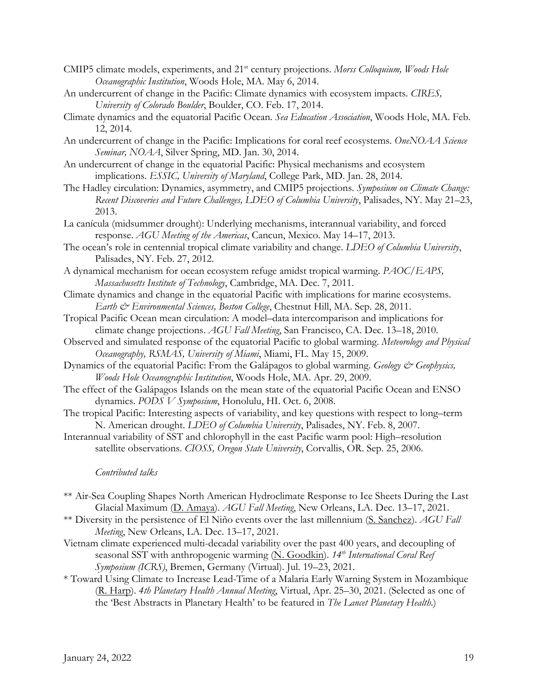- CMIP5 climate models, experiments, and 21<sup>st</sup> century projections. *Morss Colloquium, Woods Hole Oceanographic Institution*, Woods Hole, MA. May 6, 2014.
- An undercurrent of change in the Pacific: Climate dynamics with ecosystem impacts. *CIRES, University of Colorado Boulder*, Boulder, CO. Feb. 17, 2014.
- Climate dynamics and the equatorial Pacific Ocean. *Sea Education Association*, Woods Hole, MA. Feb. 12, 2014.
- An undercurrent of change in the Pacific: Implications for coral reef ecosystems. *OneNOAA Science Seminar, NOAA*, Silver Spring, MD. Jan. 30, 2014.
- An undercurrent of change in the equatorial Pacific: Physical mechanisms and ecosystem implications. *ESSIC, University of Maryland*, College Park, MD. Jan. 28, 2014.
- The Hadley circulation: Dynamics, asymmetry, and CMIP5 projections. *Symposium on Climate Change: Recent Discoveries and Future Challenges, LDEO of Columbia University*, Palisades, NY. May 21–23, 2013.
- La canícula (midsummer drought): Underlying mechanisms, interannual variability, and forced response. *AGU Meeting of the Americas*, Cancun, Mexico. May 14–17, 2013.
- The ocean's role in centennial tropical climate variability and change. *LDEO of Columbia University*, Palisades, NY. Feb. 27, 2012.
- A dynamical mechanism for ocean ecosystem refuge amidst tropical warming. *PAOC/EAPS, Massachusetts Institute of Technology*, Cambridge, MA. Dec. 7, 2011.
- Climate dynamics and change in the equatorial Pacific with implications for marine ecosystems. *Earth & Environmental Sciences, Boston College*, Chestnut Hill, MA. Sep. 28, 2011.
- Tropical Pacific Ocean mean circulation: A model–data intercomparison and implications for climate change projections. *AGU Fall Meeting*, San Francisco, CA. Dec. 13–18, 2010.
- Observed and simulated response of the equatorial Pacific to global warming. *Meteorology and Physical Oceanography, RSMAS, University of Miami*, Miami, FL. May 15, 2009.
- Dynamics of the equatorial Pacific: From the Galápagos to global warming. *Geology & Geophysics*, *Woods Hole Oceanographic Institution*, Woods Hole, MA. Apr. 29, 2009.
- The effect of the Galápagos Islands on the mean state of the equatorial Pacific Ocean and ENSO dynamics. *PODS V Symposium*, Honolulu, HI. Oct. 6, 2008.
- The tropical Pacific: Interesting aspects of variability, and key questions with respect to long–term N. American drought. *LDEO of Columbia University*, Palisades, NY. Feb. 8, 2007.
- Interannual variability of SST and chlorophyll in the east Pacific warm pool: High–resolution satellite observations. *CIOSS, Oregon State University*, Corvallis, OR. Sep. 25, 2006.

# *Contributed talks*

- \*\* Air-Sea Coupling Shapes North American Hydroclimate Response to Ice Sheets During the Last Glacial Maximum (D. Amaya). *AGU Fall Meeting*, New Orleans, LA. Dec. 13–17, 2021.
- \*\* Diversity in the persistence of El Niño events over the last millennium (S. Sanchez). *AGU Fall Meeting*, New Orleans, LA. Dec. 13–17, 2021.
- Vietnam climate experienced multi-decadal variability over the past 400 years, and decoupling of seasonal SST with anthropogenic warming (N. Goodkin).  $14^{th}$  *International Coral Reef Symposium (ICRS)*, Bremen, Germany (Virtual). Jul. 19–23, 2021.
- \* Toward Using Climate to Increase Lead-Time of a Malaria Early Warning System in Mozambique (R. Harp). *4th Planetary Health Annual Meeting*, Virtual, Apr. 25–30, 2021. (Selected as one of the 'Best Abstracts in Planetary Health' to be featured in *The Lancet Planetary Health*.)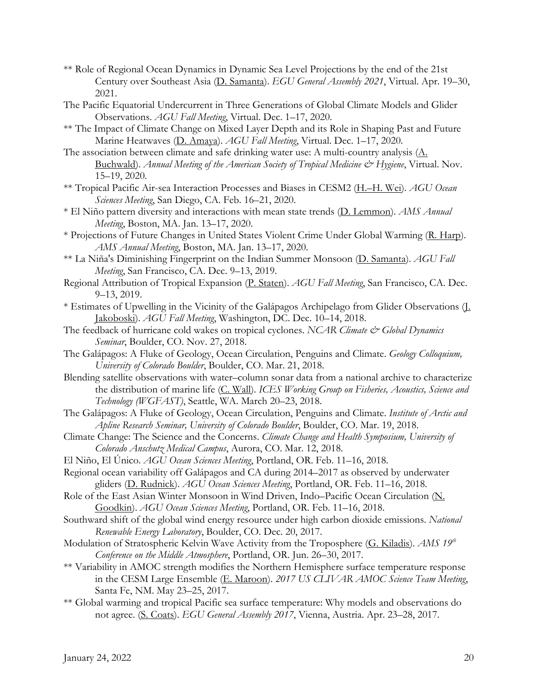- \*\* Role of Regional Ocean Dynamics in Dynamic Sea Level Projections by the end of the 21st Century over Southeast Asia (D. Samanta). *EGU General Assembly 2021*, Virtual. Apr. 19–30, 2021.
- The Pacific Equatorial Undercurrent in Three Generations of Global Climate Models and Glider Observations. *AGU Fall Meeting*, Virtual. Dec. 1–17, 2020.
- \*\* The Impact of Climate Change on Mixed Layer Depth and its Role in Shaping Past and Future Marine Heatwaves (D. Amaya). *AGU Fall Meeting*, Virtual. Dec. 1–17, 2020.
- The association between climate and safe drinking water use: A multi-country analysis (A. Buchwald). *Annual Meeting of the American Society of Tropical Medicine & Hygiene*, Virtual. Nov. 15–19, 2020.
- \*\* Tropical Pacific Air-sea Interaction Processes and Biases in CESM2 (H.–H. Wei). *AGU Ocean Sciences Meeting*, San Diego, CA. Feb. 16–21, 2020.
- \* El Niño pattern diversity and interactions with mean state trends (D. Lemmon). *AMS Annual Meeting*, Boston, MA. Jan. 13–17, 2020.
- \* Projections of Future Changes in United States Violent Crime Under Global Warming (R. Harp). *AMS Annual Meeting*, Boston, MA. Jan. 13–17, 2020.
- \*\* La Niña's Diminishing Fingerprint on the Indian Summer Monsoon (D. Samanta). *AGU Fall Meeting*, San Francisco, CA. Dec. 9–13, 2019.
- Regional Attribution of Tropical Expansion (P. Staten). *AGU Fall Meeting*, San Francisco, CA. Dec. 9–13, 2019.
- \* Estimates of Upwelling in the Vicinity of the Galápagos Archipelago from Glider Observations (J. Jakoboski). *AGU Fall Meeting*, Washington, DC. Dec. 10–14, 2018.
- The feedback of hurricane cold wakes on tropical cyclones. *NCAR Climate*  $\breve{c}$  *Global Dynamics Seminar*, Boulder, CO. Nov. 27, 2018.
- The Galápagos: A Fluke of Geology, Ocean Circulation, Penguins and Climate. *Geology Colloquium, University of Colorado Boulder*, Boulder, CO. Mar. 21, 2018.
- Blending satellite observations with water–column sonar data from a national archive to characterize the distribution of marine life (C. Wall). *ICES Working Group on Fisheries, Acoustics, Science and Technology (WGFAST)*, Seattle, WA. March 20–23, 2018.
- The Galápagos: A Fluke of Geology, Ocean Circulation, Penguins and Climate. *Institute of Arctic and Apline Research Seminar, University of Colorado Boulder*, Boulder, CO. Mar. 19, 2018.
- Climate Change: The Science and the Concerns. *Climate Change and Health Symposium, University of Colorado Anschutz Medical Campus*, Aurora, CO. Mar. 12, 2018.
- El Niño, El Único. *AGU Ocean Sciences Meeting*, Portland, OR. Feb. 11–16, 2018.
- Regional ocean variability off Galápagos and CA during 2014–2017 as observed by underwater gliders (D. Rudnick). *AGU Ocean Sciences Meeting*, Portland, OR. Feb. 11–16, 2018.
- Role of the East Asian Winter Monsoon in Wind Driven, Indo–Pacific Ocean Circulation (N. Goodkin). *AGU Ocean Sciences Meeting*, Portland, OR. Feb. 11–16, 2018.
- Southward shift of the global wind energy resource under high carbon dioxide emissions. *National Renewable Energy Laboratory*, Boulder, CO. Dec. 20, 2017.
- Modulation of Stratospheric Kelvin Wave Activity from the Troposphere (G. Kiladis). *AMS* 19<sup>th</sup> *Conference on the Middle Atmosphere*, Portland, OR. Jun. 26–30, 2017.
- \*\* Variability in AMOC strength modifies the Northern Hemisphere surface temperature response in the CESM Large Ensemble (E. Maroon). *2017 US CLIVAR AMOC Science Team Meeting*, Santa Fe, NM. May 23–25, 2017.
- \*\* Global warming and tropical Pacific sea surface temperature: Why models and observations do not agree. (S. Coats). *EGU General Assembly 2017*, Vienna, Austria. Apr. 23–28, 2017.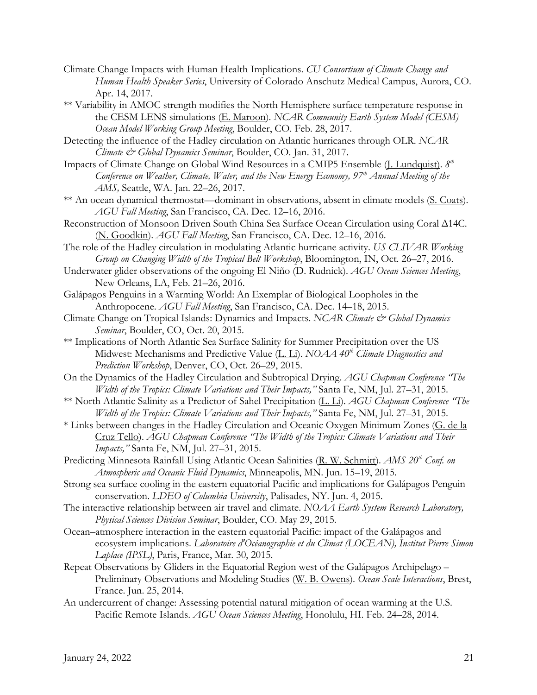- Climate Change Impacts with Human Health Implications. *CU Consortium of Climate Change and Human Health Speaker Series*, University of Colorado Anschutz Medical Campus, Aurora, CO. Apr. 14, 2017.
- \*\* Variability in AMOC strength modifies the North Hemisphere surface temperature response in the CESM LENS simulations (E. Maroon). *NCAR Community Earth System Model (CESM) Ocean Model Working Group Meeting*, Boulder, CO. Feb. 28, 2017.
- Detecting the influence of the Hadley circulation on Atlantic hurricanes through OLR. *NCAR Climate & Global Dynamics Seminar*, Boulder, CO. Jan. 31, 2017.
- Impacts of Climate Change on Global Wind Resources in a CMIP5 Ensemble (J. Lundquist). *8th Conference on Weather, Climate, Water, and the New Energy Economy, 97th Annual Meeting of the AMS,* Seattle, WA. Jan. 22–26, 2017.
- \*\* An ocean dynamical thermostat—dominant in observations, absent in climate models (S. Coats). *AGU Fall Meeting*, San Francisco, CA. Dec. 12–16, 2016.
- Reconstruction of Monsoon Driven South China Sea Surface Ocean Circulation using Coral Δ14C. (N. Goodkin). *AGU Fall Meeting*, San Francisco, CA. Dec. 12–16, 2016.
- The role of the Hadley circulation in modulating Atlantic hurricane activity. *US CLIVAR Working Group on Changing Width of the Tropical Belt Workshop*, Bloomington, IN, Oct. 26–27, 2016.
- Underwater glider observations of the ongoing El Niño (D. Rudnick). *AGU Ocean Sciences Meeting*, New Orleans, LA, Feb. 21–26, 2016.
- Galápagos Penguins in a Warming World: An Exemplar of Biological Loopholes in the Anthropocene. *AGU Fall Meeting*, San Francisco, CA. Dec. 14–18, 2015.
- Climate Change on Tropical Islands: Dynamics and Impacts. *NCAR Climate & Global Dynamics Seminar*, Boulder, CO, Oct. 20, 2015.
- \*\* Implications of North Atlantic Sea Surface Salinity for Summer Precipitation over the US Midwest: Mechanisms and Predictive Value (L. Li). *NOAA 40<sup>th</sup> Climate Diagnostics and Prediction Workshop*, Denver, CO, Oct. 26–29, 2015.
- On the Dynamics of the Hadley Circulation and Subtropical Drying. *AGU Chapman Conference "The Width of the Tropics: Climate Variations and Their Impacts,"* Santa Fe, NM, Jul. 27–31, 2015.
- \*\* North Atlantic Salinity as a Predictor of Sahel Precipitation (L. Li). *AGU Chapman Conference "The Width of the Tropics: Climate Variations and Their Impacts,"* Santa Fe, NM, Jul. 27–31, 2015.
- \* Links between changes in the Hadley Circulation and Oceanic Oxygen Minimum Zones (G. de la Cruz Tello). *AGU Chapman Conference "The Width of the Tropics: Climate Variations and Their Impacts,"* Santa Fe, NM, Jul. 27–31, 2015.
- Predicting Minnesota Rainfall Using Atlantic Ocean Salinities (R. W. Schmitt). *AMS 20th Conf. on Atmospheric and Oceanic Fluid Dynamics*, Minneapolis, MN. Jun. 15–19, 2015.
- Strong sea surface cooling in the eastern equatorial Pacific and implications for Galápagos Penguin conservation. *LDEO of Columbia University*, Palisades, NY. Jun. 4, 2015.
- The interactive relationship between air travel and climate. *NOAA Earth System Research Laboratory, Physical Sciences Division Seminar*, Boulder, CO. May 29, 2015.
- Ocean–atmosphere interaction in the eastern equatorial Pacific: impact of the Galápagos and ecosystem implications. *Laboratoire d'Océanographie et du Climat (LOCEAN), Institut Pierre Simon Laplace (IPSL)*, Paris, France, Mar. 30, 2015.
- Repeat Observations by Gliders in the Equatorial Region west of the Galápagos Archipelago Preliminary Observations and Modeling Studies (W. B. Owens). *Ocean Scale Interactions*, Brest, France. Jun. 25, 2014.
- An undercurrent of change: Assessing potential natural mitigation of ocean warming at the U.S. Pacific Remote Islands. *AGU Ocean Sciences Meeting*, Honolulu, HI. Feb. 24–28, 2014.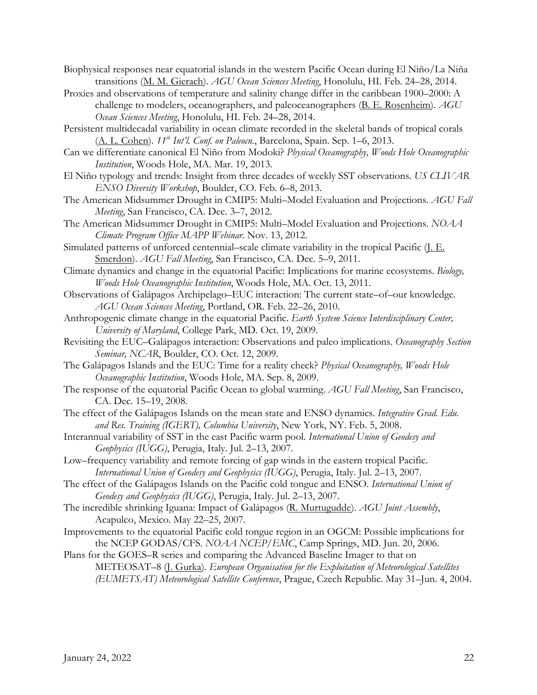- Biophysical responses near equatorial islands in the western Pacific Ocean during El Niño/La Niña transitions (M. M. Gierach). *AGU Ocean Sciences Meeting*, Honolulu, HI. Feb. 24–28, 2014.
- Proxies and observations of temperature and salinity change differ in the caribbean 1900–2000: A challenge to modelers, oceanographers, and paleoceanographers (B. E. Rosenheim). *AGU Ocean Sciences Meeting*, Honolulu, HI. Feb. 24–28, 2014.
- Persistent multidecadal variability in ocean climate recorded in the skeletal bands of tropical corals (A. L. Cohen). *11th Int'l. Conf. on Paleocn.*, Barcelona, Spain. Sep. 1–6, 2013.
- Can we differentiate canonical El Niño from Modoki? *Physical Oceanography, Woods Hole Oceanographic Institution*, Woods Hole, MA. Mar. 19, 2013.
- El Niño typology and trends: Insight from three decades of weekly SST observations. *US CLIVAR ENSO Diversity Workshop*, Boulder, CO. Feb. 6–8, 2013.
- The American Midsummer Drought in CMIP5: Multi–Model Evaluation and Projections. *AGU Fall Meeting*, San Francisco, CA. Dec. 3–7, 2012.
- The American Midsummer Drought in CMIP5: Multi–Model Evaluation and Projections. *NOAA Climate Program Office MAPP Webinar*. Nov. 13, 2012.
- Simulated patterns of unforced centennial–scale climate variability in the tropical Pacific (J. E. Smerdon). *AGU Fall Meeting*, San Francisco, CA. Dec. 5–9, 2011.
- Climate dynamics and change in the equatorial Pacific: Implications for marine ecosystems. *Biology, Woods Hole Oceanographic Institution*, Woods Hole, MA. Oct. 13, 2011.
- Observations of Galápagos Archipelago–EUC interaction: The current state–of–our knowledge. *AGU Ocean Sciences Meeting*, Portland, OR. Feb. 22–26, 2010.
- Anthropogenic climate change in the equatorial Pacific. *Earth System Science Interdisciplinary Center, University of Maryland*, College Park, MD. Oct. 19, 2009.
- Revisiting the EUC–Galápagos interaction: Observations and paleo implications. *Oceanography Section Seminar, NCAR*, Boulder, CO. Oct. 12, 2009.
- The Galápagos Islands and the EUC: Time for a reality check? *Physical Oceanography, Woods Hole Oceanographic Institution*, Woods Hole, MA. Sep. 8, 2009.
- The response of the equatorial Pacific Ocean to global warming. *AGU Fall Meeting*, San Francisco, CA. Dec. 15–19, 2008.
- The effect of the Galápagos Islands on the mean state and ENSO dynamics. *Integrative Grad. Edu. and Res. Training (IGERT), Columbia University*, New York, NY. Feb. 5, 2008.
- Interannual variability of SST in the east Pacific warm pool. *International Union of Geodesy and Geophysics (IUGG)*, Perugia, Italy. Jul. 2–13, 2007.
- Low–frequency variability and remote forcing of gap winds in the eastern tropical Pacific. *International Union of Geodesy and Geophysics (IUGG)*, Perugia, Italy. Jul. 2–13, 2007.
- The effect of the Galápagos Islands on the Pacific cold tongue and ENSO. *International Union of Geodesy and Geophysics (IUGG)*, Perugia, Italy. Jul. 2–13, 2007.
- The incredible shrinking Iguana: Impact of Galápagos (R. Murtugudde). *AGU Joint Assembly*, Acapulco, Mexico. May 22–25, 2007.
- Improvements to the equatorial Pacific cold tongue region in an OGCM: Possible implications for the NCEP GODAS/CFS. *NOAA NCEP/EMC*, Camp Springs, MD. Jun. 20, 2006.
- Plans for the GOES–R series and comparing the Advanced Baseline Imager to that on METEOSAT–8 (J. Gurka). *European Organisation for the Exploitation of Meteorological Satellites (EUMETSAT) Meteorological Satellite Conference*, Prague, Czech Republic. May 31–Jun. 4, 2004.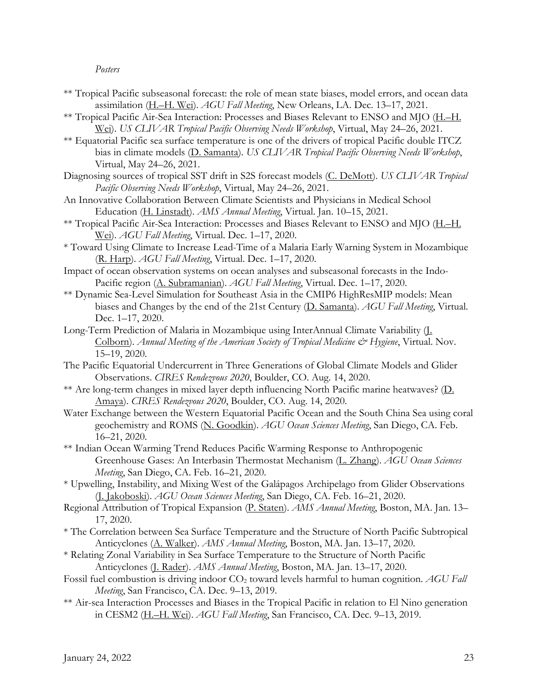### *Posters*

- \*\* Tropical Pacific subseasonal forecast: the role of mean state biases, model errors, and ocean data assimilation (H.–H. Wei). *AGU Fall Meeting*, New Orleans, LA. Dec. 13–17, 2021.
- \*\* Tropical Pacific Air-Sea Interaction: Processes and Biases Relevant to ENSO and MJO (H.–H. Wei). *US CLIVAR Tropical Pacific Observing Needs Workshop*, Virtual, May 24–26, 2021.
- \*\* Equatorial Pacific sea surface temperature is one of the drivers of tropical Pacific double ITCZ bias in climate models (D. Samanta). *US CLIVAR Tropical Pacific Observing Needs Workshop*, Virtual, May 24–26, 2021.
- Diagnosing sources of tropical SST drift in S2S forecast models (C. DeMott). *US CLIVAR Tropical Pacific Observing Needs Workshop*, Virtual, May 24–26, 2021.
- An Innovative Collaboration Between Climate Scientists and Physicians in Medical School Education (H. Linstadt). *AMS Annual Meeting*, Virtual. Jan. 10–15, 2021.
- \*\* Tropical Pacific Air-Sea Interaction: Processes and Biases Relevant to ENSO and MJO (H.–H. Wei). *AGU Fall Meeting*, Virtual. Dec. 1–17, 2020.
- \* Toward Using Climate to Increase Lead-Time of a Malaria Early Warning System in Mozambique (R. Harp). *AGU Fall Meeting*, Virtual. Dec. 1–17, 2020.
- Impact of ocean observation systems on ocean analyses and subseasonal forecasts in the Indo-Pacific region (A. Subramanian). *AGU Fall Meeting*, Virtual. Dec. 1–17, 2020.
- \*\* Dynamic Sea-Level Simulation for Southeast Asia in the CMIP6 HighResMIP models: Mean biases and Changes by the end of the 21st Century (D. Samanta). *AGU Fall Meeting*, Virtual. Dec. 1–17, 2020.
- Long-Term Prediction of Malaria in Mozambique using InterAnnual Climate Variability (J. Colborn). *Annual Meeting of the American Society of Tropical Medicine & Hygiene*, Virtual. Nov. 15–19, 2020.
- The Pacific Equatorial Undercurrent in Three Generations of Global Climate Models and Glider Observations. *CIRES Rendezvous 2020*, Boulder, CO. Aug. 14, 2020.
- \*\* Are long-term changes in mixed layer depth influencing North Pacific marine heatwaves? (D. Amaya). *CIRES Rendezvous 2020*, Boulder, CO. Aug. 14, 2020.
- Water Exchange between the Western Equatorial Pacific Ocean and the South China Sea using coral geochemistry and ROMS (N. Goodkin). *AGU Ocean Sciences Meeting*, San Diego, CA. Feb. 16–21, 2020.
- \*\* Indian Ocean Warming Trend Reduces Pacific Warming Response to Anthropogenic Greenhouse Gases: An Interbasin Thermostat Mechanism (L. Zhang). *AGU Ocean Sciences Meeting*, San Diego, CA. Feb. 16–21, 2020.
- \* Upwelling, Instability, and Mixing West of the Galápagos Archipelago from Glider Observations (J. Jakoboski). *AGU Ocean Sciences Meeting*, San Diego, CA. Feb. 16–21, 2020.
- Regional Attribution of Tropical Expansion (P. Staten). *AMS Annual Meeting*, Boston, MA. Jan. 13– 17, 2020.
- \* The Correlation between Sea Surface Temperature and the Structure of North Pacific Subtropical Anticyclones (A. Walker). *AMS Annual Meeting*, Boston, MA. Jan. 13–17, 2020.
- \* Relating Zonal Variability in Sea Surface Temperature to the Structure of North Pacific Anticyclones (J. Rader). *AMS Annual Meeting*, Boston, MA. Jan. 13–17, 2020.
- Fossil fuel combustion is driving indoor CO<sub>2</sub> toward levels harmful to human cognition. *AGU Fall Meeting*, San Francisco, CA. Dec. 9–13, 2019.
- \*\* Air-sea Interaction Processes and Biases in the Tropical Pacific in relation to El Nino generation in CESM2 (H.–H. Wei). *AGU Fall Meeting*, San Francisco, CA. Dec. 9–13, 2019.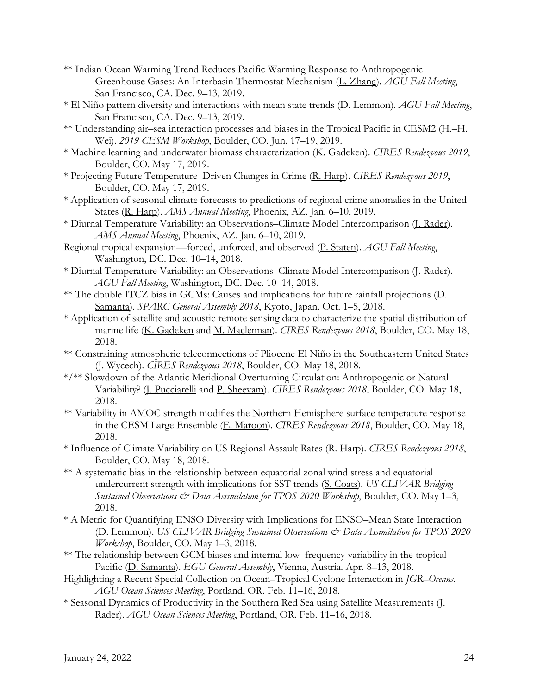- \*\* Indian Ocean Warming Trend Reduces Pacific Warming Response to Anthropogenic Greenhouse Gases: An Interbasin Thermostat Mechanism (L. Zhang). *AGU Fall Meeting*, San Francisco, CA. Dec. 9–13, 2019.
- \* El Niño pattern diversity and interactions with mean state trends (D. Lemmon). *AGU Fall Meeting*, San Francisco, CA. Dec. 9–13, 2019.
- \*\* Understanding air–sea interaction processes and biases in the Tropical Pacific in CESM2 (H.–H. Wei). *2019 CESM Workshop*, Boulder, CO. Jun. 17–19, 2019.
- \* Machine learning and underwater biomass characterization (K. Gadeken). *CIRES Rendezvous 2019*, Boulder, CO. May 17, 2019.
- \* Projecting Future Temperature–Driven Changes in Crime (R. Harp). *CIRES Rendezvous 2019*, Boulder, CO. May 17, 2019.
- \* Application of seasonal climate forecasts to predictions of regional crime anomalies in the United States (R. Harp). *AMS Annual Meeting*, Phoenix, AZ. Jan. 6–10, 2019.
- \* Diurnal Temperature Variability: an Observations–Climate Model Intercomparison (J. Rader). *AMS Annual Meeting*, Phoenix, AZ. Jan. 6–10, 2019.
- Regional tropical expansion—forced, unforced, and observed (P. Staten). *AGU Fall Meeting*, Washington, DC. Dec. 10–14, 2018.
- \* Diurnal Temperature Variability: an Observations–Climate Model Intercomparison (J. Rader). *AGU Fall Meeting*, Washington, DC. Dec. 10–14, 2018.
- \*\* The double ITCZ bias in GCMs: Causes and implications for future rainfall projections (D. Samanta). *SPARC General Assembly 2018*, Kyoto, Japan. Oct. 1–5, 2018.
- \* Application of satellite and acoustic remote sensing data to characterize the spatial distribution of marine life (K. Gadeken and M. Maclennan). *CIRES Rendezvous 2018*, Boulder, CO. May 18, 2018.
- \*\* Constraining atmospheric teleconnections of Pliocene El Niño in the Southeastern United States (J. Wycech). *CIRES Rendezvous 2018*, Boulder, CO. May 18, 2018.
- \*/\*\* Slowdown of the Atlantic Meridional Overturning Circulation: Anthropogenic or Natural Variability? (J. Pucciarelli and P. Sheevam). *CIRES Rendezvous 2018*, Boulder, CO. May 18, 2018.
- \*\* Variability in AMOC strength modifies the Northern Hemisphere surface temperature response in the CESM Large Ensemble (E. Maroon). *CIRES Rendezvous 2018*, Boulder, CO. May 18, 2018.
- \* Influence of Climate Variability on US Regional Assault Rates (R. Harp). *CIRES Rendezvous 2018*, Boulder, CO. May 18, 2018.
- \*\* A systematic bias in the relationship between equatorial zonal wind stress and equatorial undercurrent strength with implications for SST trends (S. Coats). *US CLIVAR Bridging Sustained Observations & Data Assimilation for TPOS 2020 Workshop*, Boulder, CO. May 1–3, 2018.
- \* A Metric for Quantifying ENSO Diversity with Implications for ENSO–Mean State Interaction (D. Lemmon). *US CLIVAR Bridging Sustained Observations & Data Assimilation for TPOS 2020 Workshop*, Boulder, CO. May 1–3, 2018.
- \*\* The relationship between GCM biases and internal low–frequency variability in the tropical Pacific (D. Samanta). *EGU General Assembly*, Vienna, Austria. Apr. 8–13, 2018.
- Highlighting a Recent Special Collection on Ocean–Tropical Cyclone Interaction in *JGR–Oceans*. *AGU Ocean Sciences Meeting*, Portland, OR. Feb. 11–16, 2018.
- \* Seasonal Dynamics of Productivity in the Southern Red Sea using Satellite Measurements (J. Rader). *AGU Ocean Sciences Meeting*, Portland, OR. Feb. 11–16, 2018.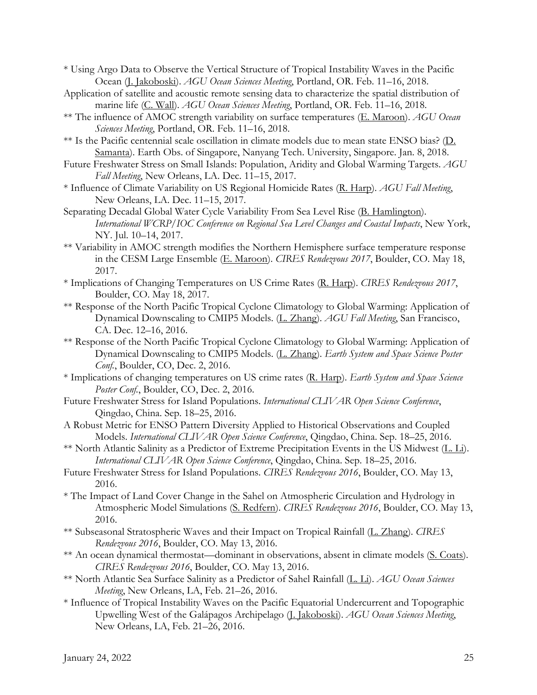\* Using Argo Data to Observe the Vertical Structure of Tropical Instability Waves in the Pacific Ocean (J. Jakoboski). *AGU Ocean Sciences Meeting*, Portland, OR. Feb. 11–16, 2018.

Application of satellite and acoustic remote sensing data to characterize the spatial distribution of marine life (C. Wall). *AGU Ocean Sciences Meeting*, Portland, OR. Feb. 11–16, 2018.

- \*\* The influence of AMOC strength variability on surface temperatures (E. Maroon). *AGU Ocean Sciences Meeting*, Portland, OR. Feb. 11–16, 2018.
- \*\* Is the Pacific centennial scale oscillation in climate models due to mean state ENSO bias? (D. Samanta). Earth Obs. of Singapore, Nanyang Tech. University, Singapore. Jan. 8, 2018.
- Future Freshwater Stress on Small Islands: Population, Aridity and Global Warming Targets. *AGU Fall Meeting*, New Orleans, LA. Dec. 11–15, 2017.
- \* Influence of Climate Variability on US Regional Homicide Rates (R. Harp). *AGU Fall Meeting*, New Orleans, LA. Dec. 11–15, 2017.
- Separating Decadal Global Water Cycle Variability From Sea Level Rise (B. Hamlington). *International WCRP/IOC Conference on Regional Sea Level Changes and Coastal Impacts*, New York, NY. Jul. 10–14, 2017.
- \*\* Variability in AMOC strength modifies the Northern Hemisphere surface temperature response in the CESM Large Ensemble (E. Maroon). *CIRES Rendezvous 2017*, Boulder, CO. May 18, 2017.
- \* Implications of Changing Temperatures on US Crime Rates (R. Harp). *CIRES Rendezvous 2017*, Boulder, CO. May 18, 2017.
- \*\* Response of the North Pacific Tropical Cyclone Climatology to Global Warming: Application of Dynamical Downscaling to CMIP5 Models. (L. Zhang). *AGU Fall Meeting*, San Francisco, CA. Dec. 12–16, 2016.
- \*\* Response of the North Pacific Tropical Cyclone Climatology to Global Warming: Application of Dynamical Downscaling to CMIP5 Models. (L. Zhang). *Earth System and Space Science Poster Conf.*, Boulder, CO, Dec. 2, 2016.
- \* Implications of changing temperatures on US crime rates (R. Harp). *Earth System and Space Science Poster Conf.*, Boulder, CO, Dec. 2, 2016.
- Future Freshwater Stress for Island Populations. *International CLIVAR Open Science Conference*, Qingdao, China. Sep. 18–25, 2016.
- A Robust Metric for ENSO Pattern Diversity Applied to Historical Observations and Coupled Models. *International CLIVAR Open Science Conference*, Qingdao, China. Sep. 18–25, 2016.
- \*\* North Atlantic Salinity as a Predictor of Extreme Precipitation Events in the US Midwest (L. Li). *International CLIVAR Open Science Conference*, Qingdao, China. Sep. 18–25, 2016.
- Future Freshwater Stress for Island Populations. *CIRES Rendezvous 2016*, Boulder, CO. May 13, 2016.
- \* The Impact of Land Cover Change in the Sahel on Atmospheric Circulation and Hydrology in Atmospheric Model Simulations (S. Redfern). *CIRES Rendezvous 2016*, Boulder, CO. May 13, 2016.
- \*\* Subseasonal Stratospheric Waves and their Impact on Tropical Rainfall (L. Zhang). *CIRES Rendezvous 2016*, Boulder, CO. May 13, 2016.
- \*\* An ocean dynamical thermostat—dominant in observations, absent in climate models (S. Coats). *CIRES Rendezvous 2016*, Boulder, CO. May 13, 2016.
- \*\* North Atlantic Sea Surface Salinity as a Predictor of Sahel Rainfall (L. Li). *AGU Ocean Sciences Meeting*, New Orleans, LA, Feb. 21–26, 2016.
- \* Influence of Tropical Instability Waves on the Pacific Equatorial Undercurrent and Topographic Upwelling West of the Galápagos Archipelago (J. Jakoboski). *AGU Ocean Sciences Meeting*, New Orleans, LA, Feb. 21–26, 2016.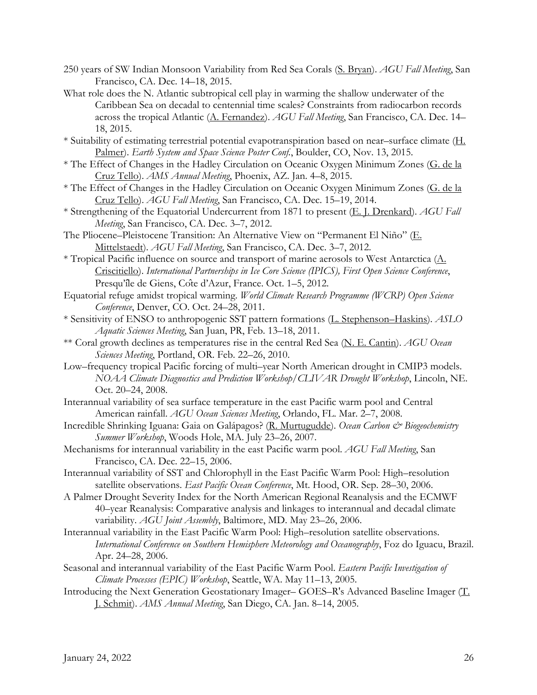- 250 years of SW Indian Monsoon Variability from Red Sea Corals (S. Bryan). *AGU Fall Meeting*, San Francisco, CA. Dec. 14–18, 2015.
- What role does the N. Atlantic subtropical cell play in warming the shallow underwater of the Caribbean Sea on decadal to centennial time scales? Constraints from radiocarbon records across the tropical Atlantic (A. Fernandez). *AGU Fall Meeting*, San Francisco, CA. Dec. 14– 18, 2015.
- \* Suitability of estimating terrestrial potential evapotranspiration based on near–surface climate (H. Palmer). *Earth System and Space Science Poster Conf.*, Boulder, CO, Nov. 13, 2015.
- \* The Effect of Changes in the Hadley Circulation on Oceanic Oxygen Minimum Zones (G. de la Cruz Tello). *AMS Annual Meeting*, Phoenix, AZ. Jan. 4–8, 2015.
- \* The Effect of Changes in the Hadley Circulation on Oceanic Oxygen Minimum Zones (G. de la Cruz Tello). *AGU Fall Meeting*, San Francisco, CA. Dec. 15–19, 2014.
- \* Strengthening of the Equatorial Undercurrent from 1871 to present (E. J. Drenkard). *AGU Fall Meeting*, San Francisco, CA. Dec. 3–7, 2012.
- The Pliocene–Pleistocene Transition: An Alternative View on "Permanent El Niño" (E. Mittelstaedt). *AGU Fall Meeting*, San Francisco, CA. Dec. 3–7, 2012.
- \* Tropical Pacific influence on source and transport of marine aerosols to West Antarctica (A. Criscitiello). *International Partnerships in Ice Core Science (IPICS), First Open Science Conference*, Presqu'île de Giens, Côte d'Azur, France. Oct. 1–5, 2012.
- Equatorial refuge amidst tropical warming. *World Climate Research Programme (WCRP) Open Science Conference*, Denver, CO. Oct. 24–28, 2011.
- \* Sensitivity of ENSO to anthropogenic SST pattern formations (L. Stephenson–Haskins). *ASLO Aquatic Sciences Meeting*, San Juan, PR, Feb. 13–18, 2011.
- \*\* Coral growth declines as temperatures rise in the central Red Sea (N. E. Cantin). *AGU Ocean Sciences Meeting*, Portland, OR. Feb. 22–26, 2010.
- Low–frequency tropical Pacific forcing of multi–year North American drought in CMIP3 models. *NOAA Climate Diagnostics and Prediction Workshop/CLIVAR Drought Workshop*, Lincoln, NE. Oct. 20–24, 2008.
- Interannual variability of sea surface temperature in the east Pacific warm pool and Central American rainfall. *AGU Ocean Sciences Meeting*, Orlando, FL. Mar. 2–7, 2008.
- Incredible Shrinking Iguana: Gaia on Galápagos? (R. Murtugudde). *Ocean Carbon & Biogeochemistry Summer Workshop*, Woods Hole, MA. July 23–26, 2007.
- Mechanisms for interannual variability in the east Pacific warm pool. *AGU Fall Meeting*, San Francisco, CA. Dec. 22–15, 2006.
- Interannual variability of SST and Chlorophyll in the East Pacific Warm Pool: High–resolution satellite observations. *East Pacific Ocean Conference*, Mt. Hood, OR. Sep. 28–30, 2006.
- A Palmer Drought Severity Index for the North American Regional Reanalysis and the ECMWF 40–year Reanalysis: Comparative analysis and linkages to interannual and decadal climate variability. *AGU Joint Assembly*, Baltimore, MD. May 23–26, 2006.
- Interannual variability in the East Pacific Warm Pool: High–resolution satellite observations. *International Conference on Southern Hemisphere Meteorology and Oceanography*, Foz do Iguacu, Brazil. Apr. 24–28, 2006.
- Seasonal and interannual variability of the East Pacific Warm Pool. *Eastern Pacific Investigation of Climate Processes (EPIC) Workshop*, Seattle, WA. May 11–13, 2005.
- Introducing the Next Generation Geostationary Imager– GOES–R's Advanced Baseline Imager (T. J. Schmit). *AMS Annual Meeting*, San Diego, CA. Jan. 8–14, 2005.